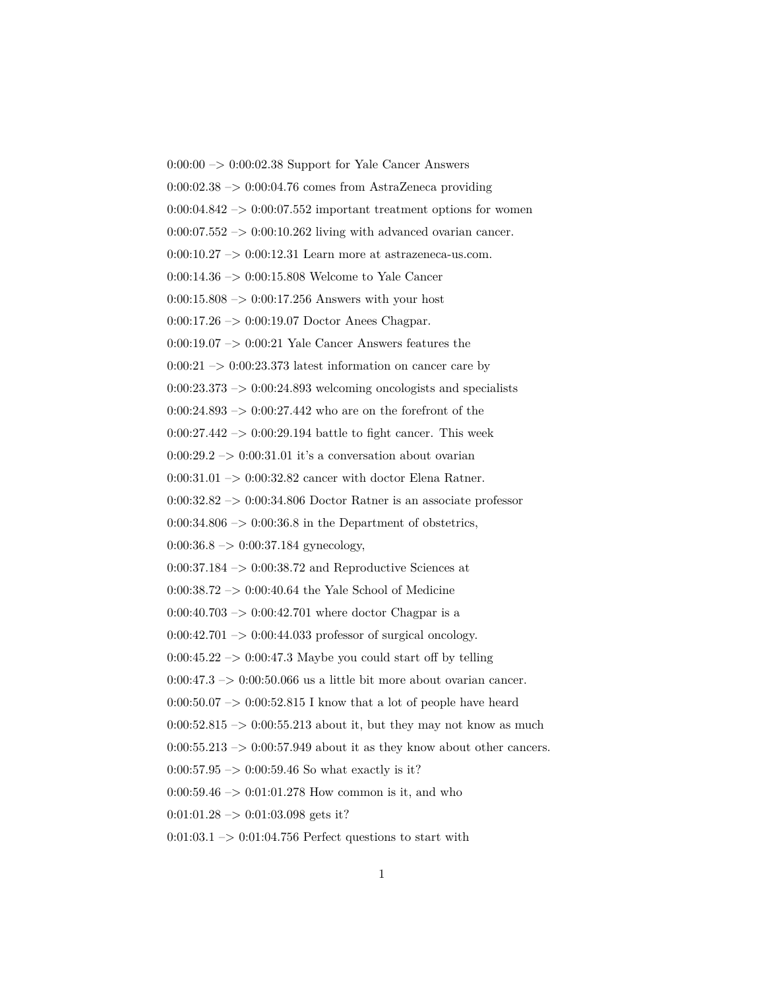$0:00:00 \rightarrow 0:00:02.38$  Support for Yale Cancer Answers  $0:00:02.38 \rightarrow 0:00:04.76$  comes from AstraZeneca providing  $0:00:04.842 \rightarrow 0:00:07.552$  important treatment options for women  $0:00:07.552 \rightarrow 0:00:10.262$  living with advanced ovarian cancer.  $0:00:10.27 \rightarrow 0:00:12.31$  Learn more at astrazeneca-us.com. 0:00:14.36 –> 0:00:15.808 Welcome to Yale Cancer  $0:00:15.808 \rightarrow 0:00:17.256$  Answers with your host 0:00:17.26 –> 0:00:19.07 Doctor Anees Chagpar.  $0:00:19.07 \rightarrow 0:00:21$  Yale Cancer Answers features the  $0:00:21 \rightarrow 0:00:23.373$  latest information on cancer care by  $0:00:23.373 \rightarrow 0:00:24.893$  welcoming oncologists and specialists 0:00:24.893  $\rightarrow$  0:00:27.442 who are on the forefront of the  $0:00:27.442 \rightarrow 0:00:29.194$  battle to fight cancer. This week  $0:00:29.2 \rightarrow 0:00:31.01$  it's a conversation about ovarian  $0:00:31.01 \rightarrow 0:00:32.82$  cancer with doctor Elena Ratner. 0:00:32.82 –> 0:00:34.806 Doctor Ratner is an associate professor  $0:00:34.806 \rightarrow 0:00:36.8$  in the Department of obstetrics,  $0:00:36.8 \rightarrow 0:00:37.184$  gynecology,  $0:00:37.184 \rightarrow 0:00:38.72$  and Reproductive Sciences at  $0:00:38.72 \rightarrow 0:00:40.64$  the Yale School of Medicine  $0:00:40.703 \rightarrow 0:00:42.701$  where doctor Chagpar is a  $0:00:42.701 \rightarrow 0:00:44.033$  professor of surgical oncology.  $0:00:45.22 \rightarrow 0:00:47.3$  Maybe you could start off by telling  $0:00:47.3 \rightarrow 0:00:50.066$  us a little bit more about ovarian cancer.  $0.00:50.07 \rightarrow 0.00:52.815$  I know that a lot of people have heard  $0:00:52.815 \rightarrow 0:00:55.213$  about it, but they may not know as much  $0:00:55.213 \rightarrow 0:00:57.949$  about it as they know about other cancers.  $0:00:57.95 \rightarrow 0:00:59.46$  So what exactly is it?  $0:00:59.46 \rightarrow 0:01:01.278$  How common is it, and who  $0:01:01.28 \rightarrow 0:01:03.098$  gets it?  $0:01:03.1 \rightarrow 0:01:04.756$  Perfect questions to start with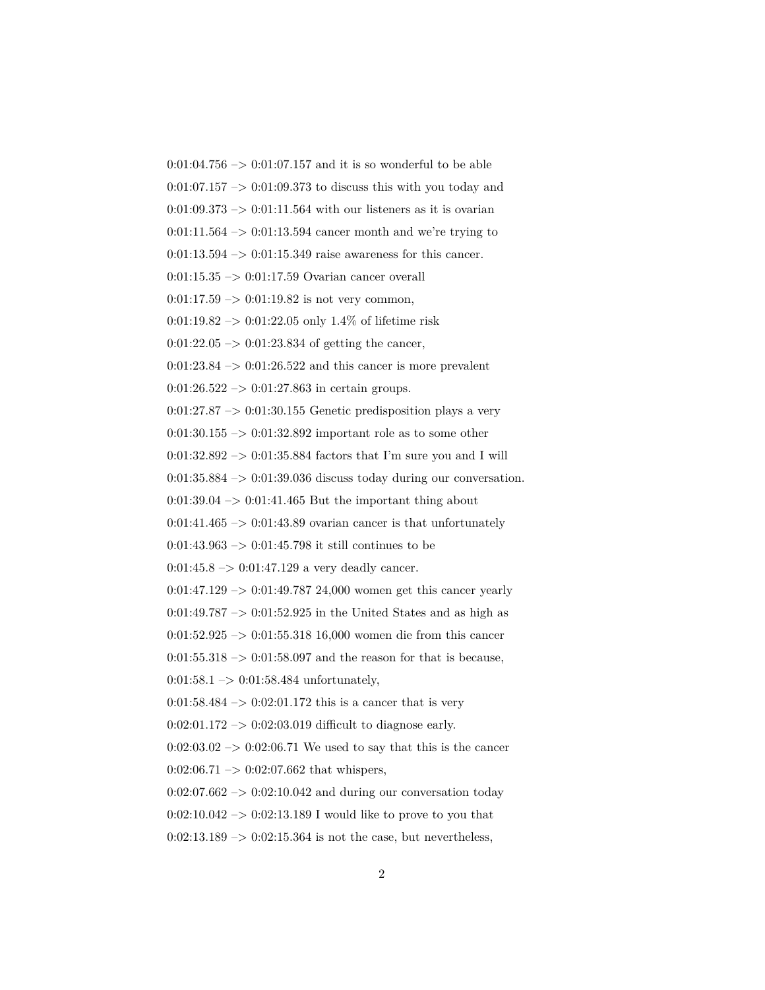$0:01:04.756 \rightarrow 0:01:07.157$  and it is so wonderful to be able

 $0:01:07.157 \rightarrow 0:01:09.373$  to discuss this with you today and

 $0:01:09.373 \rightarrow 0:01:11.564$  with our listeners as it is ovarian

 $0:01:11.564 \rightarrow 0:01:13.594$  cancer month and we're trying to

 $0:01:13.594 \rightarrow 0:01:15.349$  raise awareness for this cancer.

0:01:15.35 –> 0:01:17.59 Ovarian cancer overall

 $0:01:17.59 \rightarrow 0:01:19.82$  is not very common,

 $0:01:19.82 \rightarrow 0:01:22.05$  only 1.4\% of lifetime risk

 $0:01:22.05 \rightarrow 0:01:23.834$  of getting the cancer,

 $0:01:23.84 \rightarrow 0:01:26.522$  and this cancer is more prevalent

 $0:01:26.522 \rightarrow 0:01:27.863$  in certain groups.

 $0:01:27.87 \rightarrow 0:01:30.155$  Genetic predisposition plays a very

0:01:30.155 –> 0:01:32.892 important role as to some other

 $0:01:32.892 \rightarrow 0:01:35.884$  factors that I'm sure you and I will

 $0:01:35.884 \rightarrow 0:01:39.036$  discuss today during our conversation.

 $0:01:39.04 \rightarrow 0:01:41.465$  But the important thing about

 $0:01:41.465 \rightarrow 0:01:43.89$  ovarian cancer is that unfortunately

 $0:01:43.963 \rightarrow 0:01:45.798$  it still continues to be

 $0:01:45.8 \rightarrow 0:01:47.129$  a very deadly cancer.

 $0:01:47.129 \rightarrow 0:01:49.78724,000$  women get this cancer yearly

 $0.01:49.787\rightarrow0.01:52.925$  in the United States and as high as

 $0:01:52.925 \rightarrow 0:01:55.318 16,000$  women die from this cancer

 $0:01:55.318 \rightarrow 0:01:58.097$  and the reason for that is because,

 $0:01:58.1 \rightarrow 0:01:58.484$  unfortunately,

 $0:01:58.484 \rightarrow 0:02:01.172$  this is a cancer that is very

 $0:02:01.172 \rightarrow 0:02:03.019$  difficult to diagnose early.

 $0:02:03.02 \rightarrow 0:02:06.71$  We used to say that this is the cancer  $0:02:06.71 \rightarrow 0:02:07.662$  that whispers,

 $0:02:07.662 \rightarrow 0:02:10.042$  and during our conversation today

 $0:02:10.042 \rightarrow 0:02:13.189$  I would like to prove to you that

 $0:02:13.189 \rightarrow 0:02:15.364$  is not the case, but nevertheless,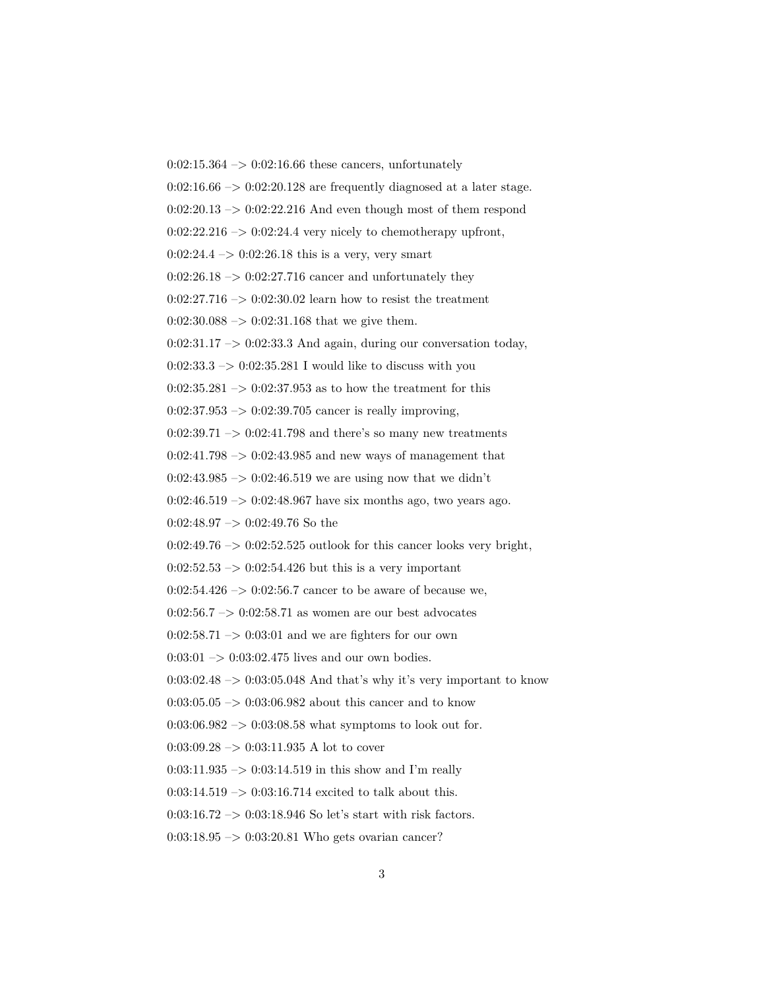$0:02:15.364 \rightarrow 0:02:16.66$  these cancers, unfortunately  $0:02:16.66 \rightarrow 0:02:20.128$  are frequently diagnosed at a later stage.  $0:02:20.13 \rightarrow 0:02:22.216$  And even though most of them respond  $0:02:22.216 \rightarrow 0:02:24.4$  very nicely to chemotherapy upfront,  $0:02:24.4 \rightarrow 0:02:26.18$  this is a very, very smart  $0:02:26.18 \rightarrow 0:02:27.716$  cancer and unfortunately they  $0:02:27.716 \rightarrow 0:02:30.02$  learn how to resist the treatment  $0:02:30.088 \rightarrow 0:02:31.168$  that we give them.  $0:02:31.17 \rightarrow 0:02:33.3$  And again, during our conversation today,  $0:02:33.3 \rightarrow 0:02:35.281$  I would like to discuss with you  $0:02:35.281 \rightarrow 0:02:37.953$  as to how the treatment for this  $0:02:37.953 \rightarrow 0:02:39.705$  cancer is really improving,  $0:02:39.71 \rightarrow 0:02:41.798$  and there's so many new treatments  $0:02:41.798 \rightarrow 0:02:43.985$  and new ways of management that  $0:02:43.985 \rightarrow 0:02:46.519$  we are using now that we didn't  $0:02:46.519 \rightarrow 0:02:48.967$  have six months ago, two years ago. 0:02:48.97  $\rightarrow$  0:02:49.76 So the  $0:02:49.76 \rightarrow 0:02:52.525$  outlook for this cancer looks very bright,  $0:02:52.53 \rightarrow 0:02:54.426$  but this is a very important 0:02:54.426  $\rightarrow$  0:02:56.7 cancer to be aware of because we,  $0:02:56.7 \rightarrow 0:02:58.71$  as women are our best advocates  $0:02:58.71 \rightarrow 0:03:01$  and we are fighters for our own  $0:03:01 \rightarrow 0:03:02.475$  lives and our own bodies.  $0:03:02.48 \rightarrow 0:03:05.048$  And that's why it's very important to know  $0:03:05.05 \rightarrow 0:03:06.982$  about this cancer and to know  $0:03:06.982 \rightarrow 0:03:08.58$  what symptoms to look out for.  $0:03:09.28 \rightarrow 0:03:11.935$  A lot to cover  $0:03:11.935 \rightarrow 0:03:14.519$  in this show and I'm really  $0:03:14.519 \rightarrow 0:03:16.714$  excited to talk about this.  $0:03:16.72 \rightarrow 0:03:18.946$  So let's start with risk factors.  $0:03:18.95 \rightarrow 0:03:20.81$  Who gets ovarian cancer?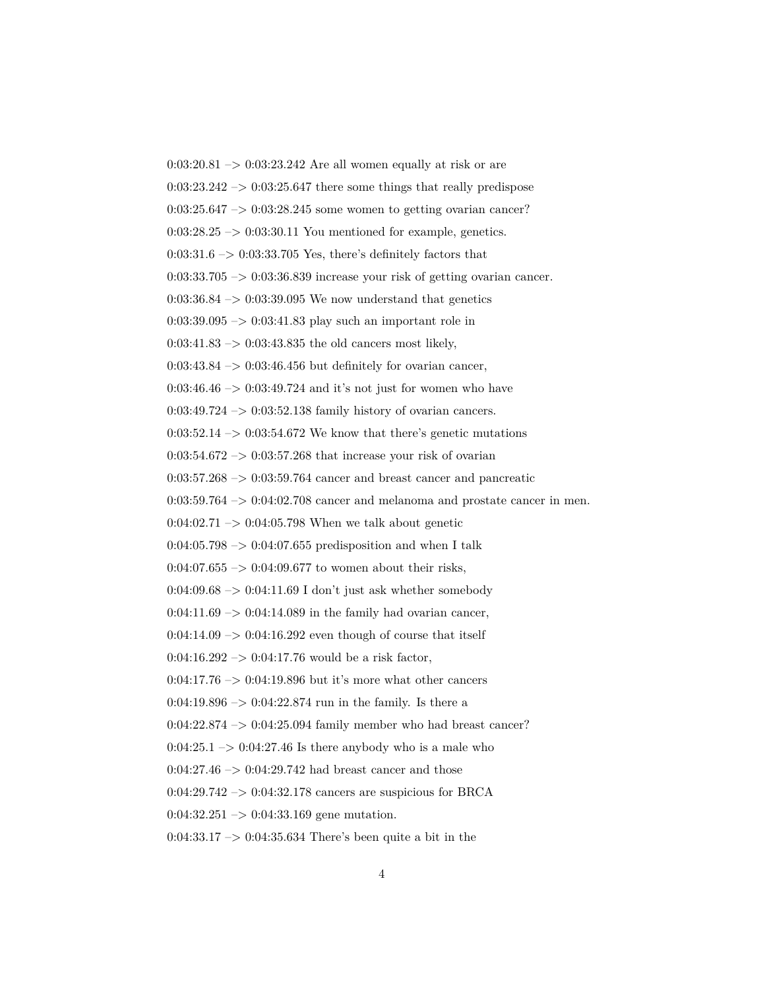$0:03:20.81 \rightarrow 0:03:23.242$  Are all women equally at risk or are  $0.03:23.242 \rightarrow 0.03:25.647$  there some things that really predispose  $0:03:25.647 \rightarrow 0:03:28.245$  some women to getting ovarian cancer?  $0:03:28.25 \rightarrow 0:03:30.11$  You mentioned for example, genetics.  $0:03:31.6 \rightarrow 0:03:33.705$  Yes, there's definitely factors that  $0:03:33.705 \rightarrow 0:03:36.839$  increase your risk of getting ovarian cancer.  $0.03:36.84 \rightarrow 0.03:39.095$  We now understand that genetics 0:03:39.095 –> 0:03:41.83 play such an important role in  $0:03:41.83 \rightarrow 0:03:43.835$  the old cancers most likely,  $0:03:43.84 \rightarrow 0:03:46.456$  but definitely for ovarian cancer,  $0:03:46.46 \rightarrow 0:03:49.724$  and it's not just for women who have 0:03:49.724 –> 0:03:52.138 family history of ovarian cancers.  $0:03:52.14 \rightarrow 0:03:54.672$  We know that there's genetic mutations  $0:03:54.672 \rightarrow 0:03:57.268$  that increase your risk of ovarian  $0:03:57.268 \rightarrow 0:03:59.764$  cancer and breast cancer and pancreatic  $0:03:59.764 \rightarrow 0:04:02.708$  cancer and melanoma and prostate cancer in men.  $0:04:02.71 \rightarrow 0:04:05.798$  When we talk about genetic  $0.04:05.798 \rightarrow 0.04:07.655$  predisposition and when I talk  $0.04:07.655 \rightarrow 0.04:09.677$  to women about their risks,  $0:04:09.68 \rightarrow 0:04:11.69$  I don't just ask whether somebody  $0:04:11.69 \rightarrow 0:04:14.089$  in the family had ovarian cancer,  $0:04:14.09 \rightarrow 0:04:16.292$  even though of course that itself  $0:04:16.292 \rightarrow 0:04:17.76$  would be a risk factor,  $0:04:17.76 \rightarrow 0:04:19.896$  but it's more what other cancers  $0:04:19.896 \rightarrow 0:04:22.874$  run in the family. Is there a  $0:04:22.874 \rightarrow 0:04:25.094$  family member who had breast cancer?  $0:04:25.1 \rightarrow 0:04:27.46$  Is there anybody who is a male who  $0:04:27.46 \rightarrow 0:04:29.742$  had breast cancer and those 0:04:29.742 –> 0:04:32.178 cancers are suspicious for BRCA  $0:04:32.251 \rightarrow 0:04:33.169$  gene mutation. 0:04:33.17 –> 0:04:35.634 There's been quite a bit in the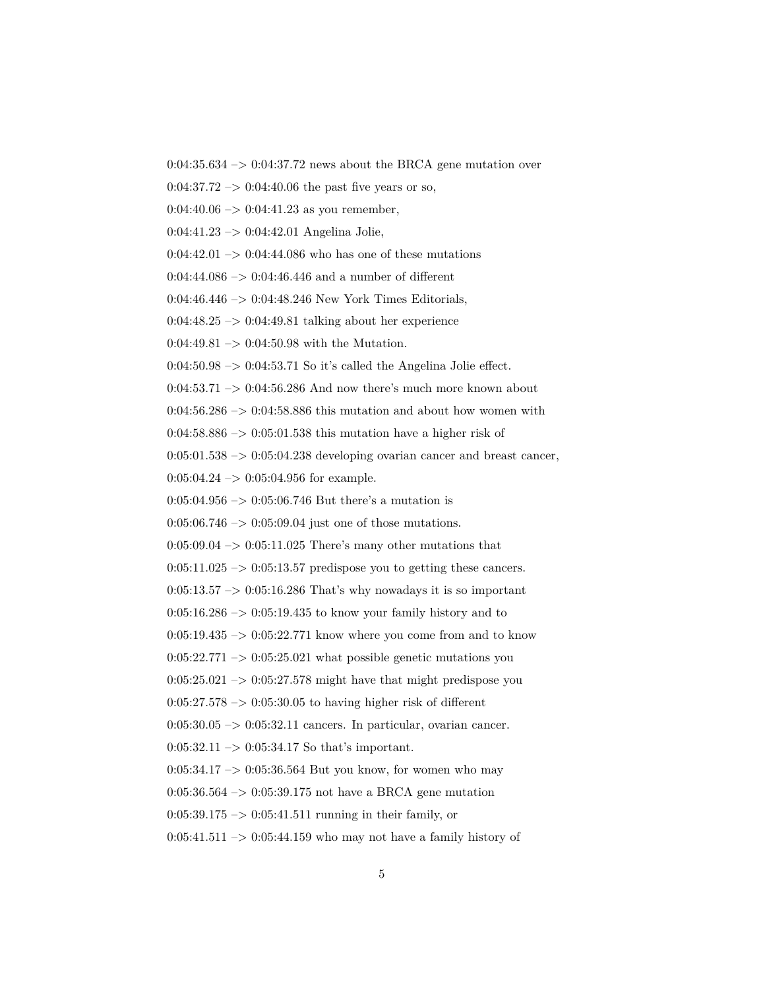$0:04:35.634 \rightarrow 0:04:37.72$  news about the BRCA gene mutation over

 $0.04:37.72 \rightarrow 0.04:40.06$  the past five years or so,

 $0:04:40.06 \rightarrow 0:04:41.23$  as you remember,

0:04:41.23 –> 0:04:42.01 Angelina Jolie,

 $0:04:42.01 \rightarrow 0:04:44.086$  who has one of these mutations

 $0:04:44.086 \rightarrow 0:04:46.446$  and a number of different

0:04:46.446 –> 0:04:48.246 New York Times Editorials,

 $0:04:48.25 \rightarrow 0:04:49.81$  talking about her experience

 $0:04:49.81 \rightarrow 0:04:50.98$  with the Mutation.

 $0.04:50.98 \rightarrow 0.04:53.71$  So it's called the Angelina Jolie effect.

 $0:04:53.71 \rightarrow 0:04:56.286$  And now there's much more known about

 $0:04:56.286 \rightarrow 0:04:58.886$  this mutation and about how women with

 $0:04:58.886 \rightarrow 0:05:01.538$  this mutation have a higher risk of

 $0:05:01.538 \rightarrow 0:05:04.238$  developing ovarian cancer and breast cancer,

 $0:05:04.24 \rightarrow 0:05:04.956$  for example.

 $0:05:04.956 \rightarrow 0:05:06.746$  But there's a mutation is

 $0:05:06.746 \rightarrow 0:05:09.04$  just one of those mutations.

 $0:05:09.04 \rightarrow 0:05:11.025$  There's many other mutations that

 $0:05:11.025 \rightarrow 0:05:13.57$  predispose you to getting these cancers.

 $0:05:13.57 \rightarrow 0:05:16.286$  That's why nowadays it is so important

 $0:05:16.286 \rightarrow 0:05:19.435$  to know your family history and to

 $0:05:19.435 \rightarrow 0:05:22.771$  know where you come from and to know

 $0:05:22.771 \rightarrow 0:05:25.021$  what possible genetic mutations you

 $0:05:25.021 \rightarrow 0:05:27.578$  might have that might predispose you

 $0:05:27.578 \rightarrow 0:05:30.05$  to having higher risk of different

 $0:05:30.05 \rightarrow 0:05:32.11$  cancers. In particular, ovarian cancer.

 $0:05:32.11 \rightarrow 0:05:34.17$  So that's important.

0:05:34.17  $\rightarrow$  0:05:36.564 But you know, for women who may

0:05:36.564 –> 0:05:39.175 not have a BRCA gene mutation

 $0:05:39.175 \rightarrow 0:05:41.511$  running in their family, or

 $0:05:41.511 \rightarrow 0:05:44.159$  who may not have a family history of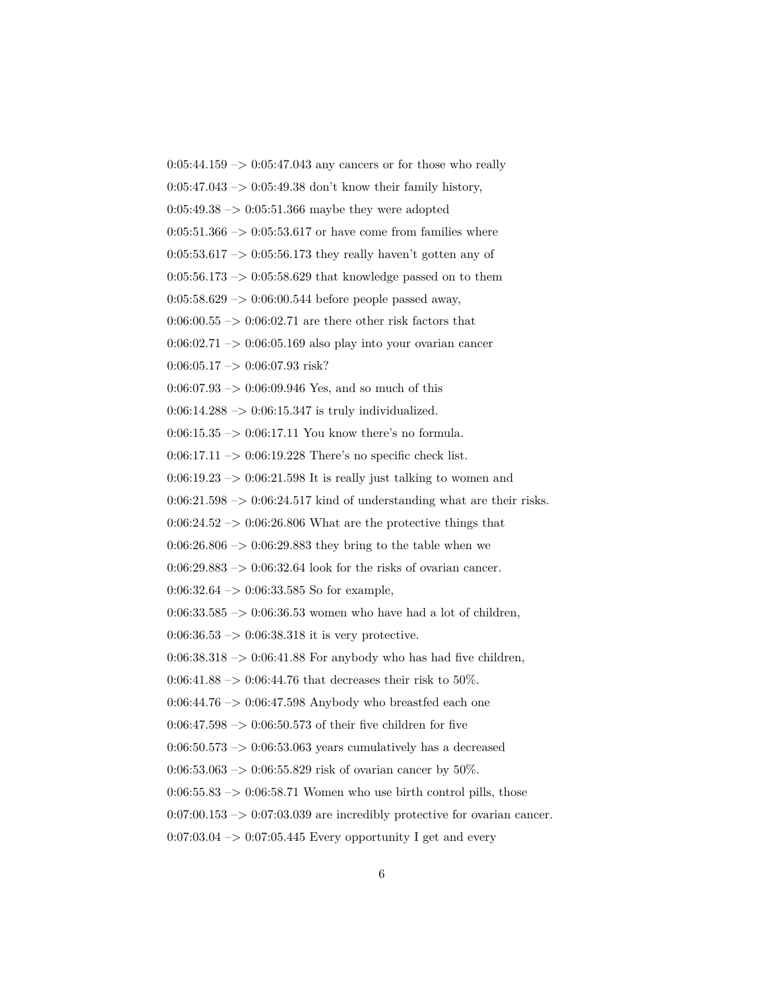$0:05:44.159 \rightarrow 0:05:47.043$  any cancers or for those who really  $0:05:47.043 \rightarrow 0:05:49.38$  don't know their family history,  $0:05:49.38 \rightarrow 0:05:51.366$  maybe they were adopted  $0:05:51.366 \rightarrow 0:05:53.617$  or have come from families where  $0:05:53.617 \rightarrow 0:05:56.173$  they really haven't gotten any of  $0:05:56.173 \rightarrow 0:05:58.629$  that knowledge passed on to them  $0:05:58.629 \rightarrow 0:06:00.544$  before people passed away,  $0.06:00.55 \rightarrow 0.06:02.71$  are there other risk factors that  $0.06:02.71 \rightarrow 0.06:05.169$  also play into your ovarian cancer  $0:06:05.17 \rightarrow 0:06:07.93$  risk?  $0:06:07.93 \rightarrow 0:06:09.946$  Yes, and so much of this  $0:06:14.288 \rightarrow 0:06:15.347$  is truly individualized. 0:06:15.35  $\rightarrow$  0:06:17.11 You know there's no formula. 0:06:17.11 –> 0:06:19.228 There's no specific check list.  $0:06:19.23 \rightarrow 0:06:21.598$  It is really just talking to women and  $0:06:21.598 \rightarrow 0:06:24.517$  kind of understanding what are their risks.  $0:06:24.52 \rightarrow 0:06:26.806$  What are the protective things that  $0:06:26.806 \rightarrow 0:06:29.883$  they bring to the table when we  $0:06:29.883 \rightarrow 0:06:32.64$  look for the risks of ovarian cancer. 0:06:32.64 –> 0:06:33.585 So for example, 0:06:33.585  $\rightarrow$  0:06:36.53 women who have had a lot of children,  $0:06:36.53 \rightarrow 0:06:38.318$  it is very protective.  $0:06:38.318 \rightarrow 0:06:41.88$  For anybody who has had five children, 0:06:41.88  $\sim$  0:06:44.76 that decreases their risk to 50%. 0:06:44.76  $\rightarrow$  0:06:47.598 Anybody who breastfed each one  $0.06:47.598 \rightarrow 0.06:50.573$  of their five children for five  $0.06:50.573 \rightarrow 0.06:53.063$  years cumulatively has a decreased 0:06:53.063 –> 0:06:55.829 risk of ovarian cancer by 50%.  $0:06:55.83 \rightarrow 0:06:58.71$  Women who use birth control pills, those  $0.07:00.153 \rightarrow 0.07:03.039$  are incredibly protective for ovarian cancer.  $0.07:03.04 \rightarrow 0.07:05.445$  Every opportunity I get and every 6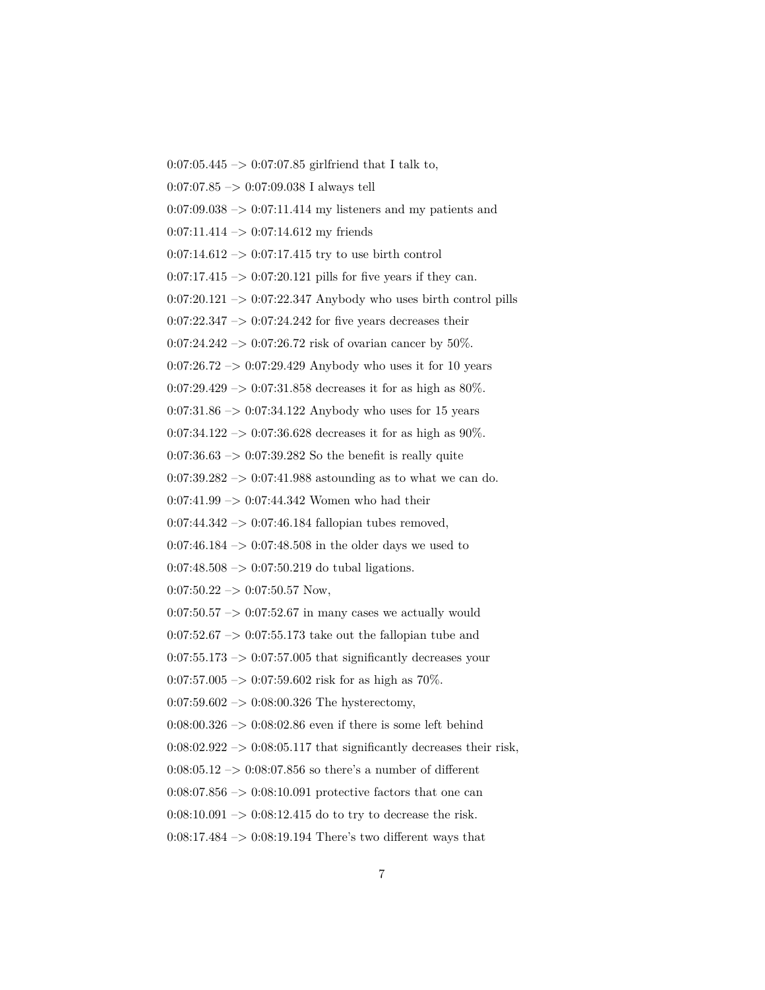0:07:05.445 –> 0:07:07.85 girlfriend that I talk to, 0:07:07.85 –> 0:07:09.038 I always tell  $0:07:09.038 \rightarrow 0:07:11.414$  my listeners and my patients and  $0:07:11.414 \rightarrow 0:07:14.612$  my friends  $0:07:14.612 \rightarrow 0:07:17.415$  try to use birth control  $0:07:17.415 \rightarrow 0:07:20.121$  pills for five years if they can.  $0:07:20.121 \rightarrow 0:07:22.347$  Anybody who uses birth control pills  $0:07:22.347 \rightarrow 0:07:24.242$  for five years decreases their 0:07:24.242 -> 0:07:26.72 risk of ovarian cancer by 50%. 0:07:26.72  $\rightarrow$  0:07:29.429 Anybody who uses it for 10 years  $0.07:29.429 \rightarrow 0.07:31.858$  decreases it for as high as 80%.  $0:07:31.86 \rightarrow 0:07:34.122$  Anybody who uses for 15 years  $0:07:34.122 \rightarrow 0:07:36.628$  decreases it for as high as 90%.  $0:07:36.63 \rightarrow 0:07:39.282$  So the benefit is really quite  $0:07:39.282 \rightarrow 0:07:41.988$  astounding as to what we can do.  $0:07:41.99 \rightarrow 0:07:44.342$  Women who had their  $0:07:44.342 \rightarrow 0:07:46.184$  fallopian tubes removed,  $0:07:46.184 \rightarrow 0:07:48.508$  in the older days we used to  $0:07:48.508 \rightarrow 0:07:50.219$  do tubal ligations.  $0:07:50.22 \rightarrow 0:07:50.57$  Now,  $0:07:50.57 \rightarrow 0:07:52.67$  in many cases we actually would  $0:07:52.67 \rightarrow 0:07:55.173$  take out the fallopian tube and  $0:07:55.173 \rightarrow 0:07:57.005$  that significantly decreases your  $0.07:57.005 \rightarrow 0.07:59.602$  risk for as high as 70%.  $0:07:59.602 \rightarrow 0:08:00.326$  The hysterectomy,  $0:08:00.326 \rightarrow 0:08:02.86$  even if there is some left behind  $0:08:02.922 \rightarrow 0:08:05.117$  that significantly decreases their risk,  $0:08:05.12 \rightarrow 0:08:07.856$  so there's a number of different  $0:08:07.856 \rightarrow 0:08:10.091$  protective factors that one can  $0:08:10.091 \rightarrow 0:08:12.415$  do to try to decrease the risk.  $0:08:17.484 \rightarrow 0:08:19.194$  There's two different ways that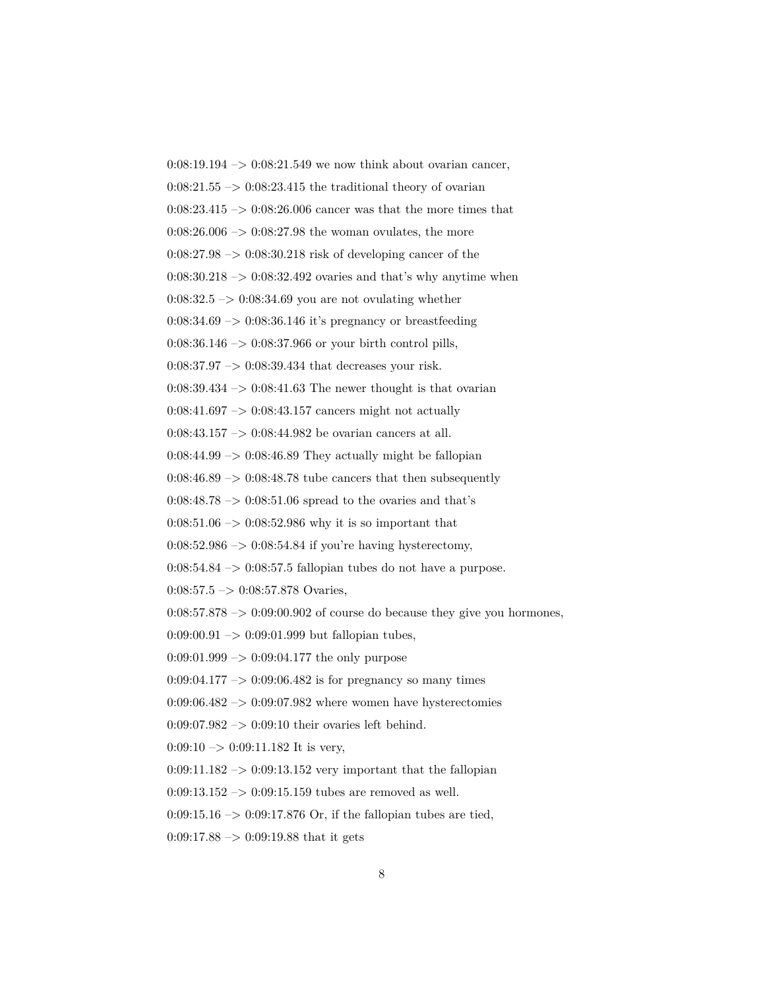$0:08:19.194 \rightarrow 0:08:21.549$  we now think about ovarian cancer,  $0:08:21.55 \rightarrow 0:08:23.415$  the traditional theory of ovarian 0:08:23.415 –> 0:08:26.006 cancer was that the more times that  $0:08:26.006 \rightarrow 0:08:27.98$  the woman ovulates, the more  $0.08:27.98 \rightarrow 0.08:30.218$  risk of developing cancer of the  $0:08:30.218 \rightarrow 0:08:32.492$  ovaries and that's why anytime when  $0:08:32.5 \rightarrow 0:08:34.69$  you are not ovulating whether  $0:08:34.69 \rightarrow 0:08:36.146$  it's pregnancy or breastfeeding 0:08:36.146 –> 0:08:37.966 or your birth control pills, 0:08:37.97 –> 0:08:39.434 that decreases your risk.  $0:08:39.434 \rightarrow 0:08:41.63$  The newer thought is that ovarian  $0:08:41.697 \rightarrow 0:08:43.157$  cancers might not actually 0:08:43.157 –> 0:08:44.982 be ovarian cancers at all.  $0:08:44.99 \rightarrow 0:08:46.89$  They actually might be fallopian  $0:08:46.89 \rightarrow 0:08:48.78$  tube cancers that then subsequently  $0.08:48.78 \rightarrow 0.08:51.06$  spread to the ovaries and that's  $0:08:51.06 \rightarrow 0:08:52.986$  why it is so important that  $0:08:52.986 \rightarrow 0:08:54.84$  if you're having hysterectomy,  $0:08:54.84 \rightarrow 0:08:57.5$  fallopian tubes do not have a purpose.  $0:08:57.5 \rightarrow 0:08:57.878$  Ovaries,  $0:08:57.878 \rightarrow 0:09:00.902$  of course do because they give you hormones,  $0:09:00.91 \rightarrow 0:09:01.999$  but fallopian tubes,  $0:09:01.999 \rightarrow 0:09:04.177$  the only purpose  $0:09:04.177 \rightarrow 0:09:06.482$  is for pregnancy so many times  $0.09:06.482 \rightarrow 0.09:07.982$  where women have hysterectomies  $0:09:07.982 \rightarrow 0:09:10$  their ovaries left behind.

 $0:09:10 \rightarrow 0:09:11.182$  It is very,

 $0:09:11.182 \rightarrow 0:09:13.152$  very important that the fallopian

 $0:09:13.152 \rightarrow 0:09:15.159$  tubes are removed as well.

0:09:15.16  $\rightarrow$  0:09:17.876 Or, if the fallopian tubes are tied,

 $0:09:17.88 \rightarrow 0:09:19.88$  that it gets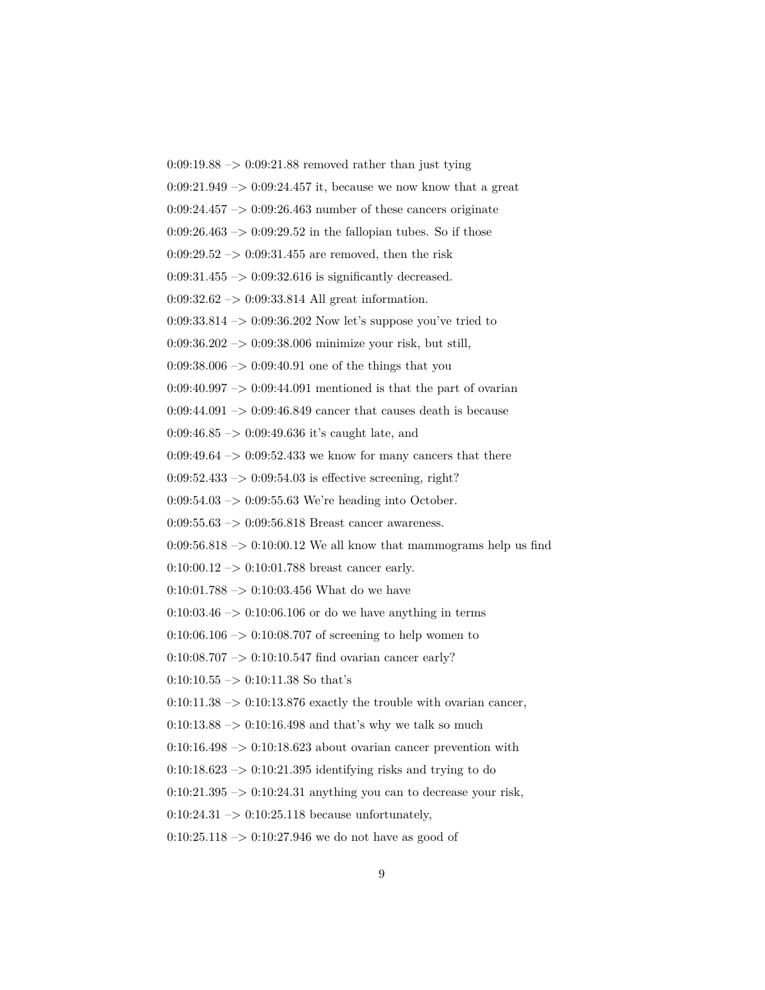$0:09:19.88 \rightarrow 0:09:21.88$  removed rather than just tying  $0:09:21.949 \rightarrow 0:09:24.457$  it, because we now know that a great  $0:09:24.457 \rightarrow 0:09:26.463$  number of these cancers originate  $0:09:26.463 \rightarrow 0:09:29.52$  in the fallopian tubes. So if those  $0:09:29.52 \rightarrow 0:09:31.455$  are removed, then the risk  $0:09:31.455 \rightarrow 0:09:32.616$  is significantly decreased. 0:09:32.62 –> 0:09:33.814 All great information. 0:09:33.814 –> 0:09:36.202 Now let's suppose you've tried to 0:09:36.202 –> 0:09:38.006 minimize your risk, but still,  $0.09:38.006 \rightarrow 0.09:40.91$  one of the things that you  $0.09:40.997 \rightarrow 0.09:44.091$  mentioned is that the part of ovarian 0:09:44.091  $\mathnormal{\sim}$  0:09:46.849 cancer that causes death is because 0:09:46.85 –> 0:09:49.636 it's caught late, and  $0.09:49.64 \rightarrow 0.09:52.433$  we know for many cancers that there  $0:09:52.433 \rightarrow 0:09:54.03$  is effective screening, right?  $0:09:54.03 \rightarrow 0:09:55.63$  We're heading into October. 0:09:55.63  $\rightarrow$  0:09:56.818 Breast cancer awareness.  $0:09:56.818 \rightarrow 0:10:00.12$  We all know that mammograms help us find  $0:10:00.12 \rightarrow 0:10:01.788$  breast cancer early.  $0:10:01.788 \rightarrow 0:10:03.456$  What do we have  $0:10:03.46 \rightarrow 0:10:06.106$  or do we have anything in terms  $0:10:06.106 \rightarrow 0:10:08.707$  of screening to help women to  $0:10:08.707 \rightarrow 0:10:10.547$  find ovarian cancer early? 0:10:10.55  $\rightarrow$  0:10:11.38 So that's  $0:10:11.38 \rightarrow 0:10:13.876$  exactly the trouble with ovarian cancer,  $0:10:13.88 \rightarrow 0:10:16.498$  and that's why we talk so much  $0:10:16.498 \rightarrow 0:10:18.623$  about ovarian cancer prevention with  $0:10:18.623 \rightarrow 0:10:21.395$  identifying risks and trying to do  $0:10:21.395 \rightarrow 0:10:24.31$  anything you can to decrease your risk,  $0:10:24.31 \rightarrow 0:10:25.118$  because unfortunately,  $0:10:25.118 \rightarrow 0:10:27.946$  we do not have as good of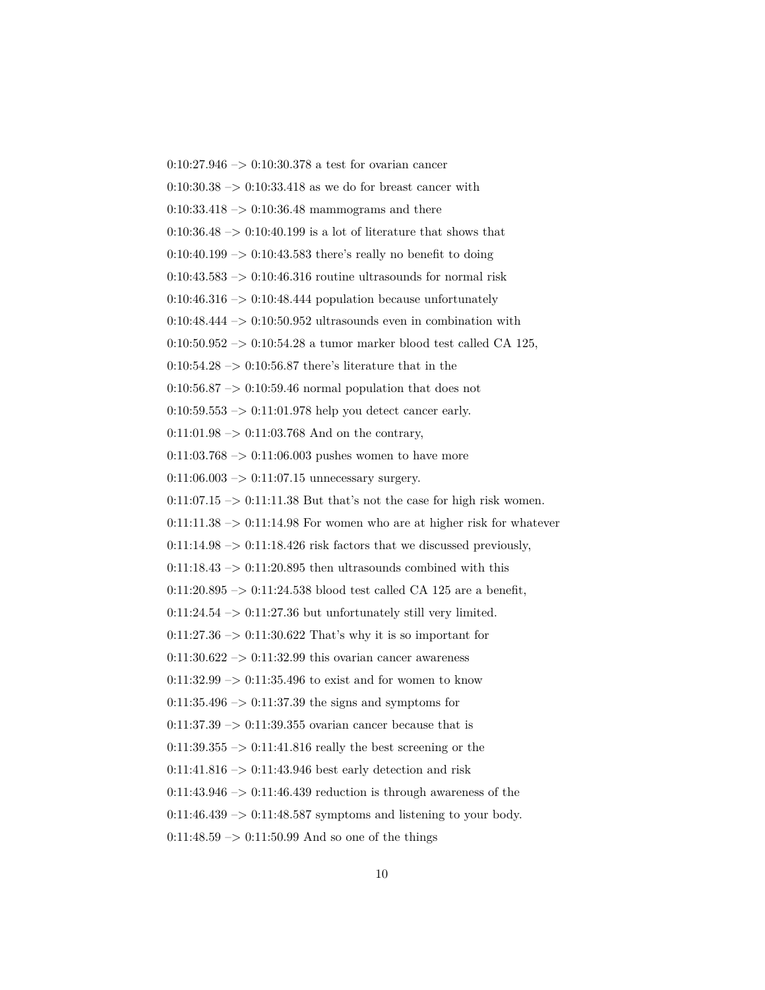$0:10:27.946 \rightarrow 0:10:30.378$  a test for ovarian cancer  $0:10:30.38 \rightarrow 0:10:33.418$  as we do for breast cancer with  $0:10:33.418 \rightarrow 0:10:36.48$  mammograms and there  $0:10:36.48 \rightarrow 0:10:40.199$  is a lot of literature that shows that  $0:10:40.199 \rightarrow 0:10:43.583$  there's really no benefit to doing  $0:10:43.583 \rightarrow 0:10:46.316$  routine ultrasounds for normal risk  $0:10:46.316 \rightarrow 0:10:48.444$  population because unfortunately  $0:10:48.444 \rightarrow 0:10:50.952$  ultrasounds even in combination with 0:10:50.952 –> 0:10:54.28 a tumor marker blood test called CA 125,  $0:10:54.28 \rightarrow 0:10:56.87$  there's literature that in the  $0.10:56.87 \rightarrow 0.10:59.46$  normal population that does not 0:10:59.553 –> 0:11:01.978 help you detect cancer early.  $0:11:01.98 \rightarrow 0:11:03.768$  And on the contrary,  $0:11:03.768 \rightarrow 0:11:06.003$  pushes women to have more  $0:11:06.003 \rightarrow 0:11:07.15$  unnecessary surgery.  $0:11:07.15 \rightarrow 0:11:11.38$  But that's not the case for high risk women.  $0:11:11.38 \rightarrow 0:11:14.98$  For women who are at higher risk for whatever  $0:11:14.98 \rightarrow 0:11:18.426$  risk factors that we discussed previously,  $0:11:18.43 \rightarrow 0:11:20.895$  then ultrasounds combined with this 0:11:20.895  $\rightarrow$  0:11:24.538 blood test called CA 125 are a benefit,  $0:11:24.54 \rightarrow 0:11:27.36$  but unfortunately still very limited.  $0:11:27.36 \rightarrow 0:11:30.622$  That's why it is so important for  $0:11:30.622 \rightarrow 0:11:32.99$  this ovarian cancer awareness  $0:11:32.99 \rightarrow 0:11:35.496$  to exist and for women to know  $0:11:35.496 \rightarrow 0:11:37.39$  the signs and symptoms for  $0:11:37.39 \rightarrow 0:11:39.355$  ovarian cancer because that is  $0:11:39.355 \rightarrow 0:11:41.816$  really the best screening or the 0:11:41.816  $\rightarrow$  0:11:43.946 best early detection and risk  $0:11:43.946 \rightarrow 0:11:46.439$  reduction is through awareness of the  $0:11:46.439 \rightarrow 0:11:48.587$  symptoms and listening to your body.  $0:11:48.59 \rightarrow 0:11:50.99$  And so one of the things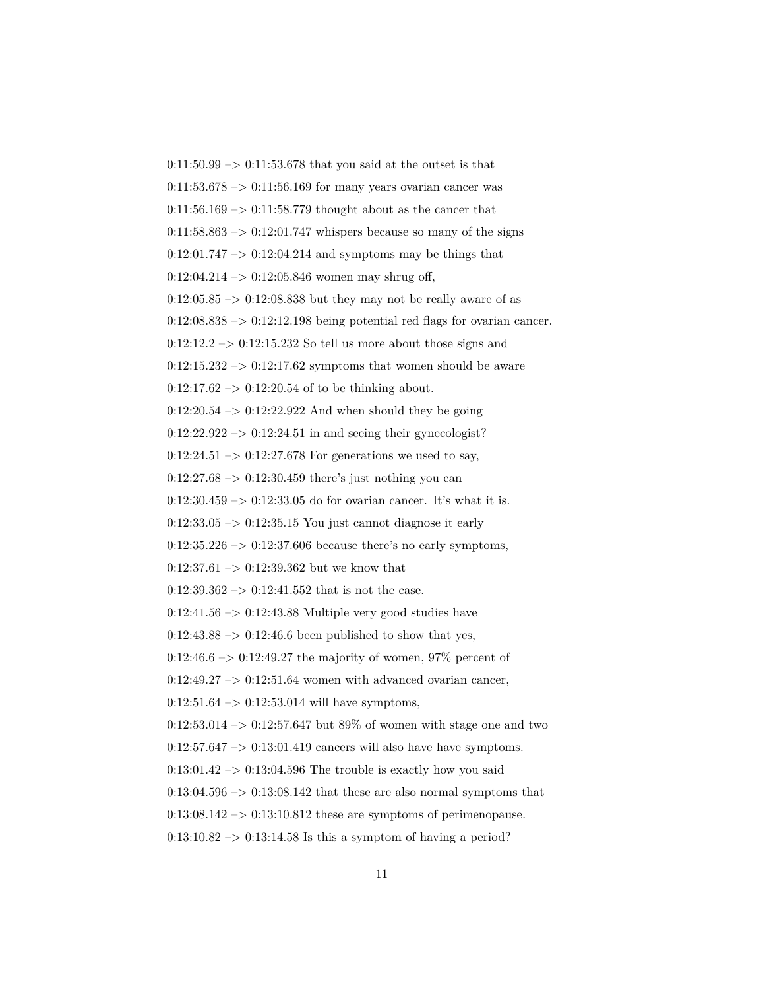$0:11:50.99 \rightarrow 0:11:53.678$  that you said at the outset is that  $0:11:53.678 \rightarrow 0:11:56.169$  for many years ovarian cancer was  $0:11:56.169 \rightarrow 0:11:58.779$  thought about as the cancer that  $0:11:58.863 \rightarrow 0:12:01.747$  whispers because so many of the signs  $0:12:01.747 \rightarrow 0:12:04.214$  and symptoms may be things that  $0:12:04.214 \rightarrow 0:12:05.846$  women may shrug off,  $0:12:05.85 \rightarrow 0:12:08.838$  but they may not be really aware of as  $0:12:08.838 \rightarrow 0:12:12.198$  being potential red flags for ovarian cancer.  $0:12:12.2 \rightarrow 0:12:15.232$  So tell us more about those signs and  $0:12:15.232 \rightarrow 0:12:17.62$  symptoms that women should be aware  $0:12:17.62 \rightarrow 0:12:20.54$  of to be thinking about.  $0:12:20.54 \rightarrow 0:12:22.922$  And when should they be going  $0:12:22.922 \rightarrow 0:12:24.51$  in and seeing their gynecologist?  $0:12:24.51 \rightarrow 0:12:27.678$  For generations we used to say,  $0:12:27.68 \rightarrow 0:12:30.459$  there's just nothing you can  $0:12:30.459\ensuremath{\rightarrow} 0:12:33.05$  do for ovarian cancer. It's what it is.  $0:12:33.05 \rightarrow 0:12:35.15$  You just cannot diagnose it early  $0:12:35.226 \rightarrow 0:12:37.606$  because there's no early symptoms,  $0:12:37.61 \rightarrow 0:12:39.362$  but we know that  $0:12:39.362 \rightarrow 0:12:41.552$  that is not the case.  $0:12:41.56 \rightarrow 0:12:43.88$  Multiple very good studies have  $0:12:43.88 \rightarrow 0:12:46.6$  been published to show that yes,  $0:12:46.6 \rightarrow 0:12:49.27$  the majority of women, 97% percent of  $0:12:49.27 \rightarrow 0:12:51.64$  women with advanced ovarian cancer,  $0:12:51.64 \rightarrow 0:12:53.014$  will have symptoms, 0:12:53.014 –> 0:12:57.647 but 89% of women with stage one and two  $0:12:57.647 \rightarrow 0:13:01.419$  cancers will also have have symptoms.  $0:13:01.42 \rightarrow 0:13:04.596$  The trouble is exactly how you said  $0:13:04.596 \rightarrow 0:13:08.142$  that these are also normal symptoms that  $0:13:08.142 \rightarrow 0:13:10.812$  these are symptoms of perimenopause.  $0:13:10.82 \rightarrow 0:13:14.58$  Is this a symptom of having a period?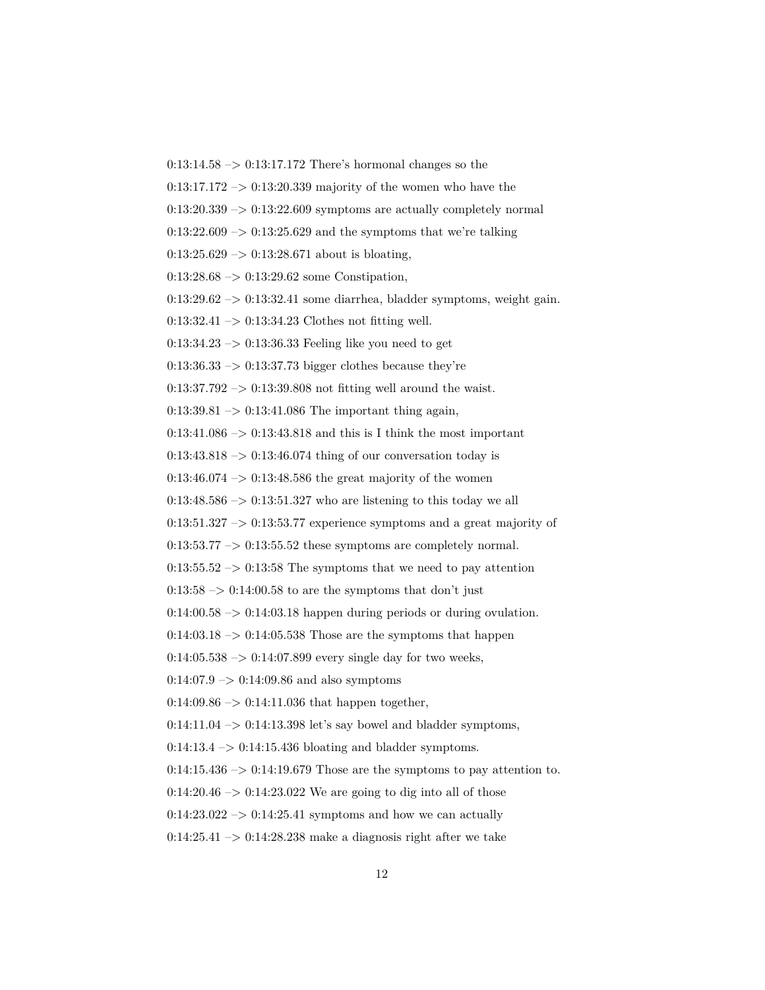$0:13:14.58 \rightarrow 0:13:17.172$  There's hormonal changes so the  $0:13:17.172 \rightarrow 0:13:20.339$  majority of the women who have the  $0:13:20.339 \rightarrow 0:13:22.609$  symptoms are actually completely normal  $0:13:22.609 \rightarrow 0:13:25.629$  and the symptoms that we're talking  $0:13:25.629 \rightarrow 0:13:28.671$  about is bloating,  $0:13:28.68 \rightarrow 0:13:29.62$  some Constipation,  $0:13:29.62 \rightarrow 0:13:32.41$  some diarrhea, bladder symptoms, weight gain.  $0:13:32.41 \rightarrow 0:13:34.23$  Clothes not fitting well.  $0:13:34.23 \rightarrow 0:13:36.33$  Feeling like you need to get  $0:13:36.33 \rightarrow 0:13:37.73$  bigger clothes because they're  $0:13:37.792 \rightarrow 0:13:39.808$  not fitting well around the waist.  $0:13:39.81 \rightarrow 0:13:41.086$  The important thing again,  $0:13:41.086 \rightarrow 0:13:43.818$  and this is I think the most important  $0:13:43.818 \rightarrow 0:13:46.074$  thing of our conversation today is  $0:13:46.074 \rightarrow 0:13:48.586$  the great majority of the women  $0:13:48.586 \rightarrow 0:13:51.327$  who are listening to this today we all  $0:13:51.327 \rightarrow 0:13:53.77$  experience symptoms and a great majority of  $0:13:53.77 \rightarrow 0:13:55.52$  these symptoms are completely normal.  $0:13:55.52 \rightarrow 0:13:58$  The symptoms that we need to pay attention  $0:13:58 \rightarrow 0:14:00.58$  to are the symptoms that don't just  $0:14:00.58 \rightarrow 0:14:03.18$  happen during periods or during ovulation.  $0.14:03.18 \rightarrow 0.14:05.538$  Those are the symptoms that happen  $0:14:05.538 \rightarrow 0:14:07.899$  every single day for two weeks,  $0:14:07.9 \rightarrow 0:14:09.86$  and also symptoms  $0:14:09.86 \rightarrow 0:14:11.036$  that happen together,  $0:14:11.04 \rightarrow 0:14:13.398$  let's say bowel and bladder symptoms,  $0:14:13.4 \rightarrow 0:14:15.436$  bloating and bladder symptoms.  $0:14:15.436 \rightarrow 0:14:19.679$  Those are the symptoms to pay attention to.  $0:14:20.46 \rightarrow 0:14:23.022$  We are going to dig into all of those  $0.14:23.022 \rightarrow 0.14:25.41$  symptoms and how we can actually  $0:14:25.41 \rightarrow 0:14:28.238$  make a diagnosis right after we take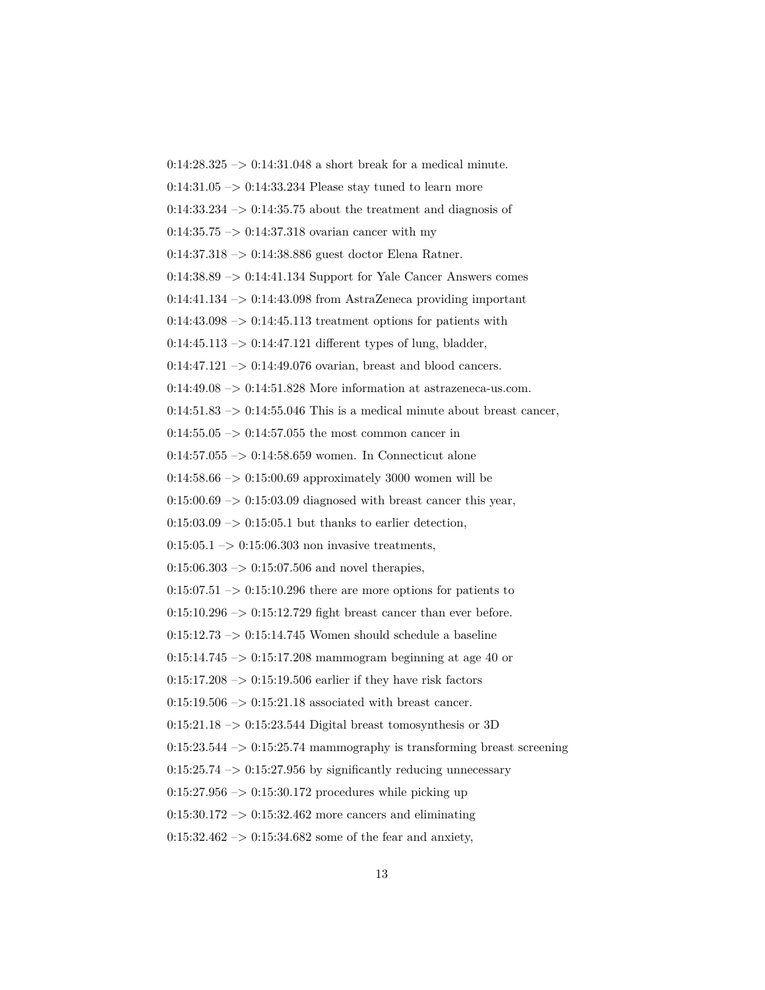$0:14:28.325 \rightarrow 0:14:31.048$  a short break for a medical minute.  $0:14:31.05 \rightarrow 0:14:33.234$  Please stay tuned to learn more  $0:14:33.234 \rightarrow 0:14:35.75$  about the treatment and diagnosis of  $0:14:35.75 \rightarrow 0:14:37.318$  ovarian cancer with my 0:14:37.318 –> 0:14:38.886 guest doctor Elena Ratner.  $0:14:38.89 \rightarrow 0:14:41.134$  Support for Yale Cancer Answers comes  $0:14:41.134 \rightarrow 0:14:43.098$  from AstraZeneca providing important  $0:14:43.098 \rightarrow 0:14:45.113$  treatment options for patients with  $0:14:45.113 \rightarrow 0:14:47.121$  different types of lung, bladder,  $0:14:47.121 \rightarrow 0:14:49.076$  ovarian, breast and blood cancers.  $0:14:49.08 \rightarrow 0:14:51.828$  More information at astrazeneca-us.com.  $0:14:51.83 \rightarrow 0:14:55.046$  This is a medical minute about breast cancer, 0:14:55.05  $\rightarrow$  0:14:57.055 the most common cancer in 0:14:57.055  $\rightarrow$  0:14:58.659 women. In Connecticut alone  $0.14:58.66 \rightarrow 0.15:00.69$  approximately 3000 women will be  $0:15:00.69 \rightarrow 0:15:03.09$  diagnosed with breast cancer this year,  $0:15:03.09 \rightarrow 0:15:05.1$  but thanks to earlier detection,  $0:15:05.1 \rightarrow 0:15:06.303$  non invasive treatments,  $0:15:06.303 \rightarrow 0:15:07.506$  and novel therapies,  $0:15:07.51 \rightarrow 0:15:10.296$  there are more options for patients to  $0:15:10.296 \rightarrow 0:15:12.729$  fight breast cancer than ever before.  $0:15:12.73 \rightarrow 0:15:14.745$  Women should schedule a baseline 0:15:14.745 –> 0:15:17.208 mammogram beginning at age 40 or  $0:15:17.208 \rightarrow 0:15:19.506$  earlier if they have risk factors  $0:15:19.506 \rightarrow 0:15:21.18$  associated with breast cancer.  $0:15:21.18 \rightarrow 0:15:23.544$  Digital breast tomosynthesis or 3D  $0:15:23.544 \rightarrow 0:15:25.74$  mammography is transforming breast screening  $0:15:25.74 \rightarrow 0:15:27.956$  by significantly reducing unnecessary  $0:15:27.956 \rightarrow 0:15:30.172$  procedures while picking up  $0:15:30.172 \rightarrow 0:15:32.462$  more cancers and eliminating  $0:15:32.462 \rightarrow 0:15:34.682$  some of the fear and anxiety,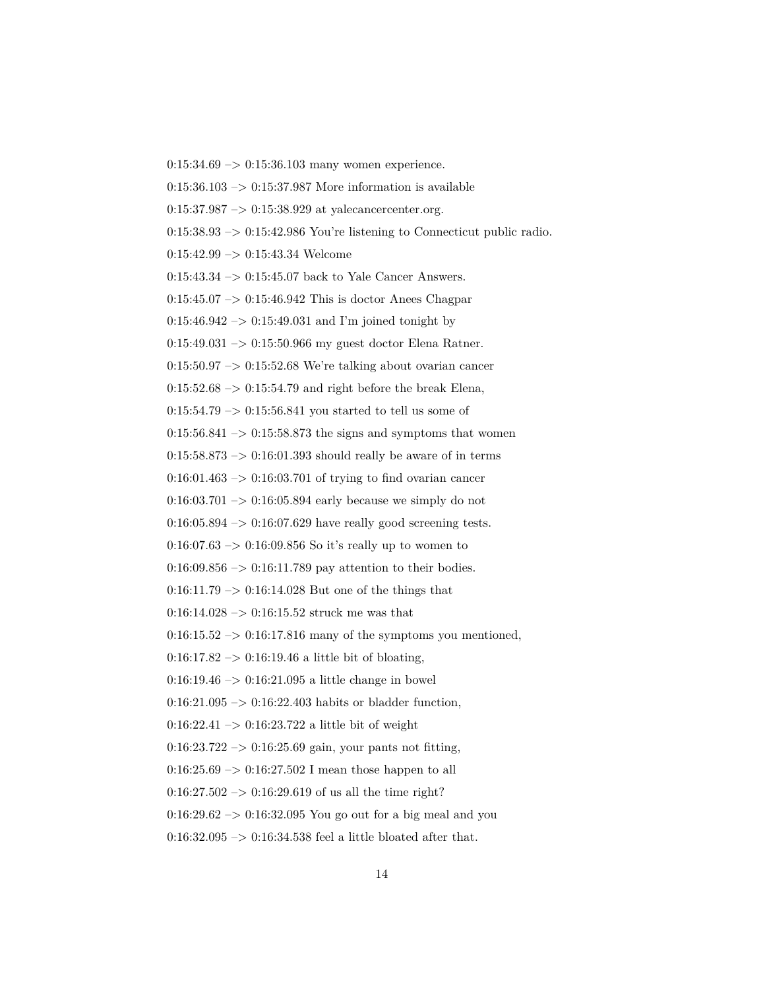$0:15:34.69 \rightarrow 0:15:36.103$  many women experience.  $0:15:36.103 \rightarrow 0:15:37.987$  More information is available  $0:15:37.987 \rightarrow 0:15:38.929$  at yalecancercenter.org.  $0:15:38.93 \rightarrow 0:15:42.986$  You're listening to Connecticut public radio.  $0:15:42.99 \rightarrow 0:15:43.34$  Welcome 0:15:43.34 –> 0:15:45.07 back to Yale Cancer Answers.  $0:15:45.07 \rightarrow 0:15:46.942$  This is doctor Anees Chagpar  $0:15:46.942 \rightarrow 0:15:49.031$  and I'm joined tonight by 0:15:49.031 –> 0:15:50.966 my guest doctor Elena Ratner.  $0.15:50.97 \rightarrow 0.15:52.68$  We're talking about ovarian cancer  $0.15:52.68 \rightarrow 0.15:54.79$  and right before the break Elena,  $0:15:54.79 \rightarrow 0:15:56.841$  you started to tell us some of  $0:15:56.841 \rightarrow 0:15:58.873$  the signs and symptoms that women  $0:15:58.873 \rightarrow 0:16:01.393$  should really be aware of in terms  $0:16:01.463 \rightarrow 0:16:03.701$  of trying to find ovarian cancer  $0:16:03.701 \rightarrow 0:16:05.894$  early because we simply do not  $0:16:05.894 \rightarrow 0:16:07.629$  have really good screening tests.  $0:16:07.63 \rightarrow 0:16:09.856$  So it's really up to women to  $0.16:09.856 \rightarrow 0.16:11.789$  pay attention to their bodies.  $0:16:11.79 \rightarrow 0:16:14.028$  But one of the things that  $0:16:14.028 \rightarrow 0:16:15.52$  struck me was that  $0:16:15.52 \rightarrow 0:16:17.816$  many of the symptoms you mentioned,  $0:16:17.82 \rightarrow 0:16:19.46$  a little bit of bloating,  $0:16:19.46 \rightarrow 0:16:21.095$  a little change in bowel  $0:16:21.095 \rightarrow 0:16:22.403$  habits or bladder function, 0:16:22.41  $\rightarrow$  0:16:23.722 a little bit of weight  $0:16:23.722 \rightarrow 0:16:25.69$  gain, your pants not fitting,  $0:16:25.69 \rightarrow 0:16:27.502$  I mean those happen to all  $0:16:27.502 \rightarrow 0:16:29.619$  of us all the time right?  $0.16:29.62 \rightarrow 0.16:32.095$  You go out for a big meal and you 0:16:32.095 –> 0:16:34.538 feel a little bloated after that.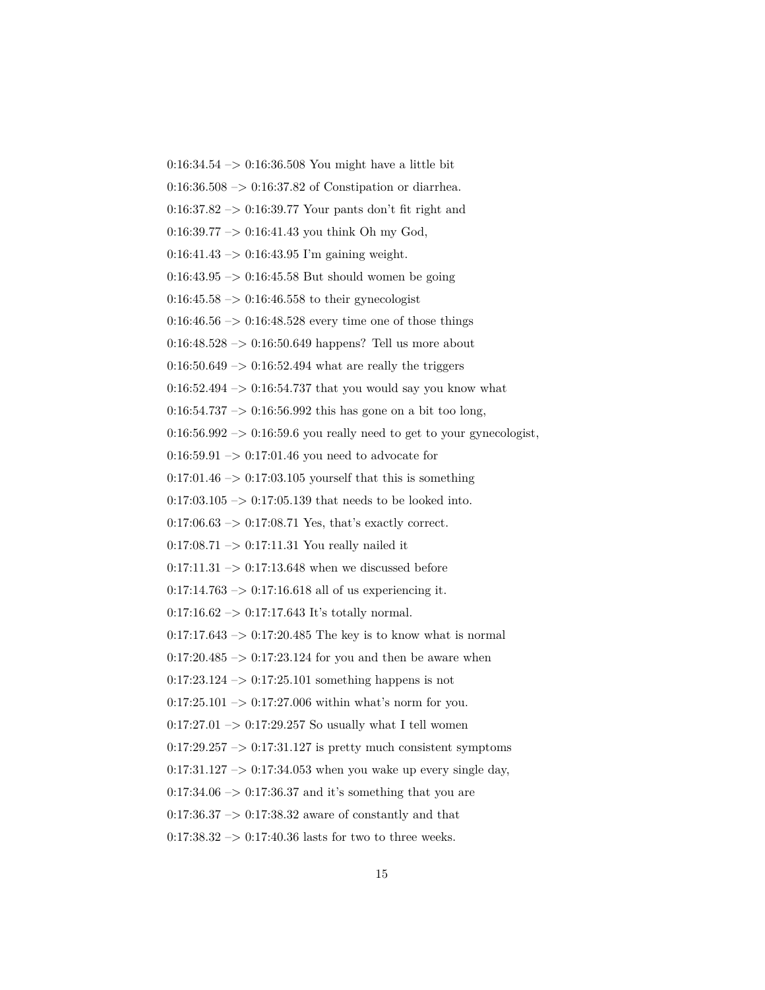0:16:34.54 –> 0:16:36.508 You might have a little bit 0:16:36.508 –> 0:16:37.82 of Constipation or diarrhea.  $0.16:37.82 \rightarrow 0.16:39.77$  Your pants don't fit right and  $0:16:39.77 \rightarrow 0:16:41.43$  you think Oh my God, 0:16:41.43  $\rightarrow$  0:16:43.95 I'm gaining weight.  $0:16:43.95 \rightarrow 0:16:45.58$  But should women be going  $0:16:45.58 \rightarrow 0:16:46.558$  to their gynecologist  $0:16:46.56 \rightarrow 0:16:48.528$  every time one of those things  $0:16:48.528 \rightarrow 0:16:50.649$  happens? Tell us more about  $0.16:50.649 \rightarrow 0.16:52.494$  what are really the triggers  $0.16:52.494 \rightarrow 0.16:54.737$  that you would say you know what  $0:16:54.737 \rightarrow 0:16:56.992$  this has gone on a bit too long,  $0:16:56.992 \rightarrow 0:16:59.6$  you really need to get to your gynecologist,  $0:16:59.91 \rightarrow 0:17:01.46$  you need to advocate for  $0:17:01.46 \rightarrow 0:17:03.105$  yourself that this is something  $0:17:03.105 \rightarrow 0:17:05.139$  that needs to be looked into.  $0:17:06.63 \rightarrow 0:17:08.71$  Yes, that's exactly correct.  $0:17:08.71 \rightarrow 0:17:11.31$  You really nailed it  $0:17:11.31 \rightarrow 0:17:13.648$  when we discussed before  $0:17:14.763 \rightarrow 0:17:16.618$  all of us experiencing it.  $0:17:16.62 \rightarrow 0:17:17.643$  It's totally normal.  $0:17:17.643 \rightarrow 0:17:20.485$  The key is to know what is normal  $0:17:20.485 \rightarrow 0:17:23.124$  for you and then be aware when  $0:17:23.124 \rightarrow 0:17:25.101$  something happens is not  $0:17:25.101 \rightarrow 0:17:27.006$  within what's norm for you.  $0:17:27.01 \rightarrow 0:17:29.257$  So usually what I tell women  $0:17:29.257 \rightarrow 0:17:31.127$  is pretty much consistent symptoms  $0:17:31.127 \rightarrow 0:17:34.053$  when you wake up every single day,  $0.17:34.06 \rightarrow 0.17:36.37$  and it's something that you are  $0.17:36.37 \rightarrow 0.17:38.32$  aware of constantly and that

 $0:17:38.32 \rightarrow 0:17:40.36$  lasts for two to three weeks.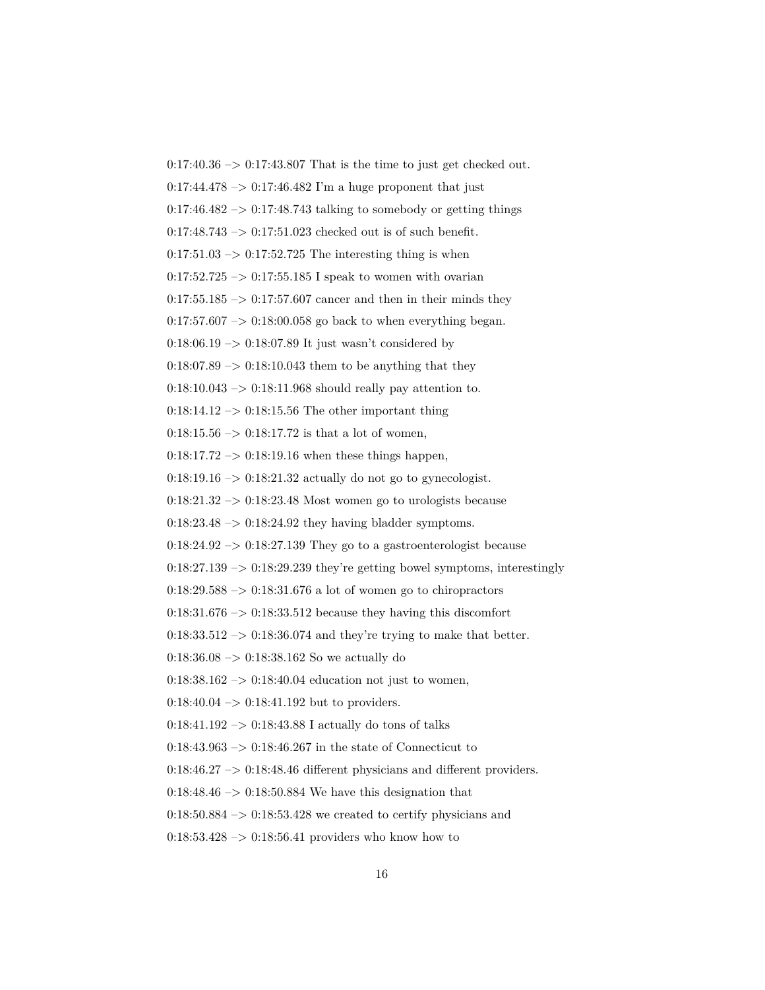$0:17:40.36 \rightarrow 0:17:43.807$  That is the time to just get checked out.  $0:17:44.478 \rightarrow 0:17:46.482$  I'm a huge proponent that just  $0:17:46.482 \rightarrow 0:17:48.743$  talking to somebody or getting things  $0:17:48.743 \rightarrow 0:17:51.023$  checked out is of such benefit.  $0:17:51.03 \rightarrow 0:17:52.725$  The interesting thing is when  $0:17:52.725 \rightarrow 0:17:55.185$  I speak to women with ovarian  $0:17:55.185 \rightarrow 0:17:57.607$  cancer and then in their minds they  $0:17:57.607 \rightarrow 0:18:00.058$  go back to when everything began.  $0.18:06.19 \rightarrow 0.18:07.89$  It just wasn't considered by  $0.18:07.89 \rightarrow 0.18:10.043$  them to be anything that they  $0.18:10.043 \rightarrow 0.18:11.968$  should really pay attention to.  $0:18:14.12 \rightarrow 0:18:15.56$  The other important thing  $0:18:15.56 \rightarrow 0:18:17.72$  is that a lot of women,  $0:18:17.72 \rightarrow 0:18:19.16$  when these things happen,  $0:18:19.16 \rightarrow 0:18:21.32$  actually do not go to gynecologist.  $0:18:21.32 \rightarrow 0:18:23.48$  Most women go to urologists because  $0:18:23.48 \rightarrow 0:18:24.92$  they having bladder symptoms.  $0:18:24.92 \rightarrow 0:18:27.139$  They go to a gastroenterologist because  $0:18:27.139 \rightarrow 0:18:29.239$  they're getting bowel symptoms, interestingly  $0:18:29.588 \rightarrow 0:18:31.676$  a lot of women go to chiropractors  $0:18:31.676 \rightarrow 0:18:33.512$  because they having this discomfort  $0:18:33.512 \rightarrow 0:18:36.074$  and they're trying to make that better.  $0:18:36.08 \rightarrow 0:18:38.162$  So we actually do  $0:18:38.162 \rightarrow 0:18:40.04$  education not just to women,  $0:18:40.04 \rightarrow 0:18:41.192$  but to providers.  $0:18:41.192 \rightarrow 0:18:43.88$  I actually do tons of talks  $0:18:43.963 \rightarrow 0:18:46.267$  in the state of Connecticut to  $0:18:46.27 \rightarrow 0:18:48.46$  different physicians and different providers.  $0.18:48.46 \rightarrow 0.18:50.884$  We have this designation that  $0.18:50.884 \rightarrow 0.18:53.428$  we created to certify physicians and  $0:18:53.428 \rightarrow 0:18:56.41$  providers who know how to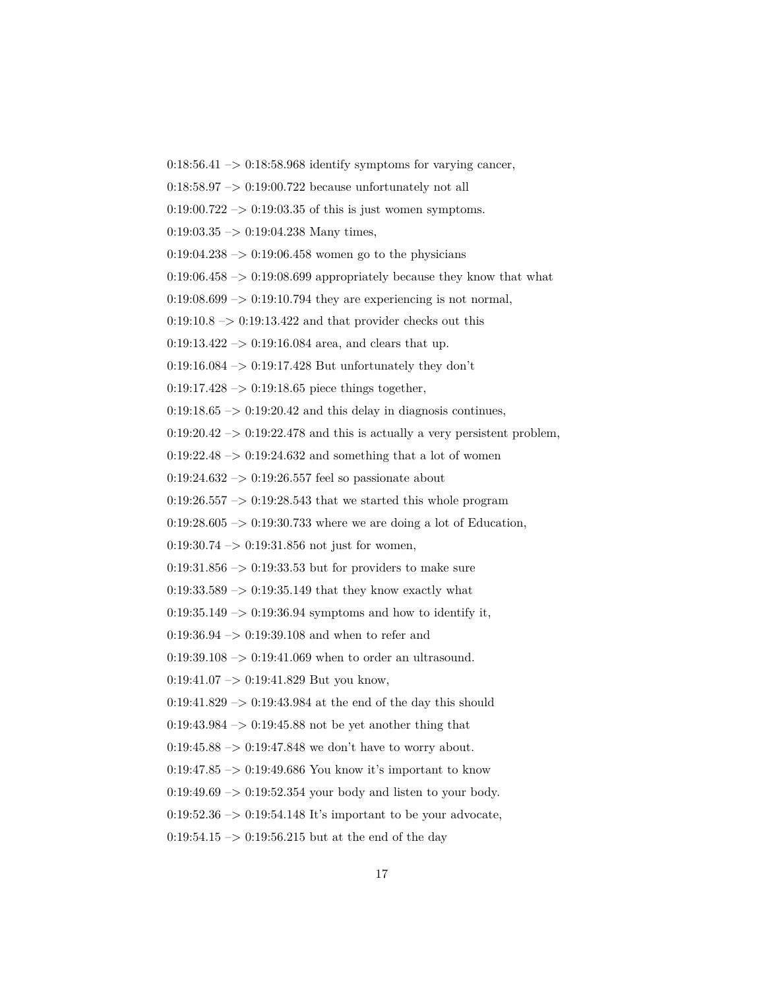$0:18:56.41 \rightarrow 0:18:58.968$  identify symptoms for varying cancer,

 $0.18:58.97 \rightarrow 0.19:00.722$  because unfortunately not all

 $0.19:00.722 \rightarrow 0.19:03.35$  of this is just women symptoms.

 $0:19:03.35 \rightarrow 0:19:04.238$  Many times,

 $0:19:04.238 \rightarrow 0:19:06.458$  women go to the physicians

 $0:19:06.458 \rightarrow 0:19:08.699$  appropriately because they know that what

 $0.19:08.699 \rightarrow 0.19:10.794$  they are experiencing is not normal,

 $0:19:10.8 \rightarrow 0:19:13.422$  and that provider checks out this

 $0:19:13.422 \rightarrow 0:19:16.084$  area, and clears that up.

 $0.19:16.084 \rightarrow 0.19:17.428$  But unfortunately they don't

 $0:19:17.428 \rightarrow 0:19:18.65$  piece things together,

 $0:19:18.65 \rightarrow 0:19:20.42$  and this delay in diagnosis continues,

 $0:19:20.42 \rightarrow 0:19:22.478$  and this is actually a very persistent problem,

 $0:19:22.48 \rightarrow 0:19:24.632$  and something that a lot of women

 $0:19:24.632 \rightarrow 0:19:26.557$  feel so passionate about

 $0:19:26.557 \rightarrow 0:19:28.543$  that we started this whole program

 $0:19:28.605 \rightarrow 0:19:30.733$  where we are doing a lot of Education,

 $0:19:30.74 \rightarrow 0:19:31.856$  not just for women,

 $0.19:31.856 \rightarrow 0.19:33.53$  but for providers to make sure

 $0:19:33.589 \rightarrow 0:19:35.149$  that they know exactly what

 $0:19:35.149 \rightarrow 0:19:36.94$  symptoms and how to identify it,

0:19:36.94 –> 0:19:39.108 and when to refer and

 $0:19:39.108 \rightarrow 0:19:41.069$  when to order an ultrasound.

 $0:19:41.07 \rightarrow 0:19:41.829$  But you know,

 $0:19:41.829 \rightarrow 0:19:43.984$  at the end of the day this should

 $0:19:43.984 \rightarrow 0:19:45.88$  not be yet another thing that

 $0:19:45.88 \rightarrow 0:19:47.848$  we don't have to worry about.

0:19:47.85 –> 0:19:49.686 You know it's important to know

 $0.19:49.69 \rightarrow 0.19:52.354$  your body and listen to your body.

 $0:19:52.36 \rightarrow 0:19:54.148$  It's important to be your advocate,

 $0:19:54.15 \rightarrow 0:19:56.215$  but at the end of the day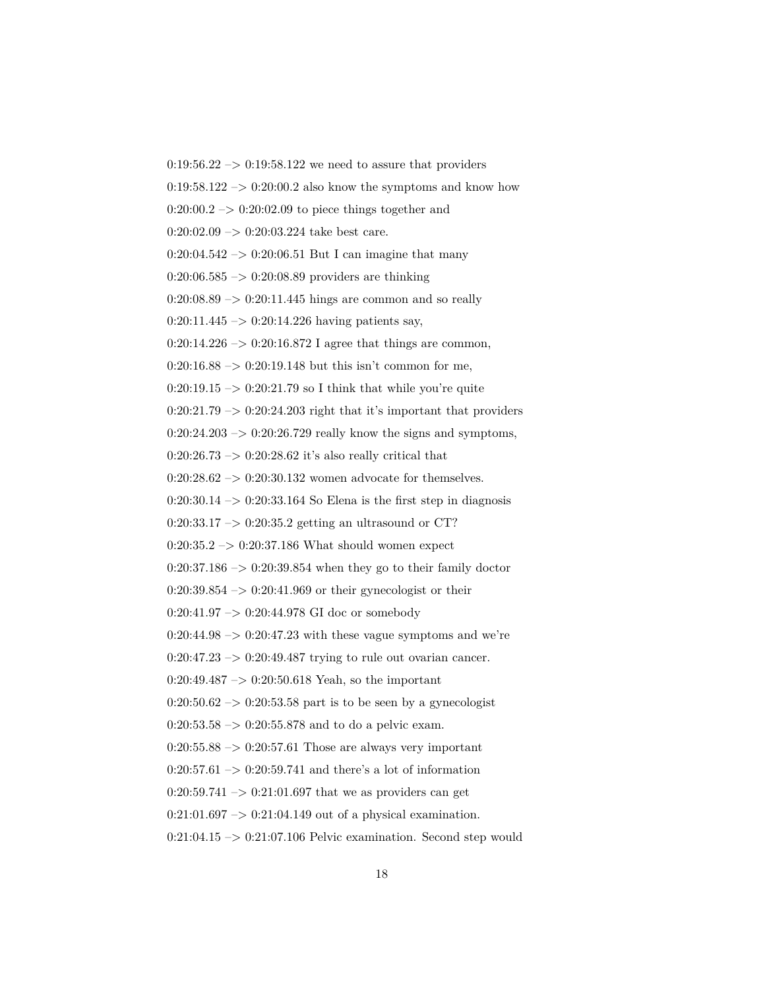$0:19:56.22 \rightarrow 0:19:58.122$  we need to assure that providers  $0.19:58.122 \rightarrow 0.20:00.2$  also know the symptoms and know how  $0:20:00.2 \rightarrow 0:20:02.09$  to piece things together and  $0:20:02.09 \rightarrow 0:20:03.224$  take best care.  $0:20:04.542 \rightarrow 0:20:06.51$  But I can imagine that many  $0:20:06.585 \rightarrow 0:20:08.89$  providers are thinking  $0:20:08.89 \rightarrow 0:20:11.445$  hings are common and so really  $0:20:11.445 \rightarrow 0:20:14.226$  having patients say,  $0:20:14.226 \rightarrow 0:20:16.872$  I agree that things are common,  $0:20:16.88 \rightarrow 0:20:19.148$  but this isn't common for me,  $0:20:19.15 \rightarrow 0:20:21.79$  so I think that while you're quite  $0:20:21.79 \rightarrow 0:20:24.203$  right that it's important that providers  $0:20:24.203 \rightarrow 0:20:26.729$  really know the signs and symptoms,  $0:20:26.73 \rightarrow 0:20:28.62$  it's also really critical that  $0:20:28.62 \rightarrow 0:20:30.132$  women advocate for themselves.  $0:20:30.14 \rightarrow 0:20:33.164$  So Elena is the first step in diagnosis  $0:20:33.17 \rightarrow 0:20:35.2$  getting an ultrasound or CT?  $0:20:35.2 \rightarrow 0:20:37.186$  What should women expect  $0:20:37.186 \rightarrow 0:20:39.854$  when they go to their family doctor  $0:20:39.854 \rightarrow 0:20:41.969$  or their gynecologist or their 0:20:41.97 –> 0:20:44.978 GI doc or somebody  $0:20:44.98 \rightarrow 0:20:47.23$  with these vague symptoms and we're  $0:20:47.23 \rightarrow 0:20:49.487$  trying to rule out ovarian cancer.  $0:20:49.487 \rightarrow 0:20:50.618$  Yeah, so the important  $0:20:50.62 \rightarrow 0:20:53.58$  part is to be seen by a gynecologist  $0:20:53.58 \rightarrow 0:20:55.878$  and to do a pelvic exam.  $0:20:55.88 \rightarrow 0:20:57.61$  Those are always very important  $0:20:57.61 \rightarrow 0:20:59.741$  and there's a lot of information  $0:20:59.741 \rightarrow 0:21:01.697$  that we as providers can get  $0:21:01.697 \rightarrow 0:21:04.149$  out of a physical examination.  $0:21:04.15 \rightarrow 0:21:07.106$  Pelvic examination. Second step would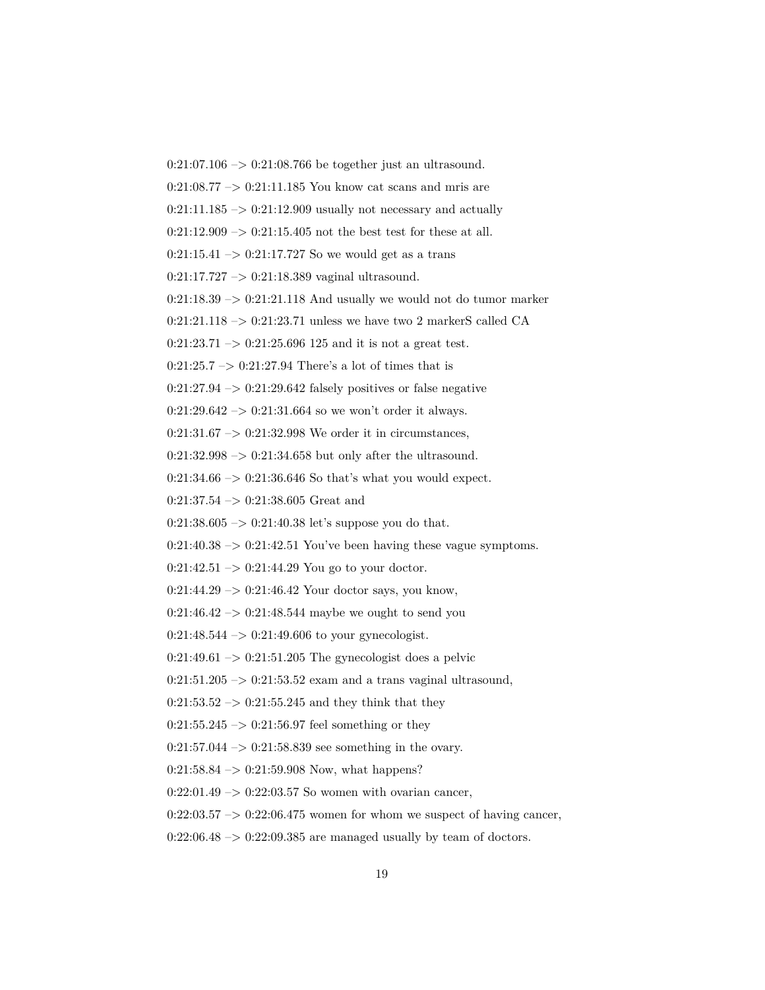0:21:07.106 –> 0:21:08.766 be together just an ultrasound. 0:21:08.77 –> 0:21:11.185 You know cat scans and mris are  $0:21:11.185 \rightarrow 0:21:12.909$  usually not necessary and actually  $0:21:12.909 \rightarrow 0:21:15.405$  not the best test for these at all.  $0:21:15.41 \rightarrow 0:21:17.727$  So we would get as a trans  $0:21:17.727 \rightarrow 0:21:18.389$  vaginal ultrasound.  $0:21:18.39 \rightarrow 0:21:21.118$  And usually we would not do tumor marker  $0:21:21.118 \rightarrow 0:21:23.71$  unless we have two 2 markerS called CA  $0:21:23.71 \rightarrow 0:21:25.696 125$  and it is not a great test.  $0:21:25.7 \rightarrow 0:21:27.94$  There's a lot of times that is  $0:21:27.94 \rightarrow 0:21:29.642$  falsely positives or false negative  $0:21:29.642 \rightarrow 0:21:31.664$  so we won't order it always.  $0:21:31.67 \rightarrow 0:21:32.998$  We order it in circumstances,  $0:21:32.998 \rightarrow 0:21:34.658$  but only after the ultrasound.  $0:21:34.66 \rightarrow 0:21:36.646$  So that's what you would expect.  $0:21:37.54 \rightarrow 0:21:38.605$  Great and  $0:21:38.605 \rightarrow 0:21:40.38$  let's suppose you do that.  $0:21:40.38 \rightarrow 0:21:42.51$  You've been having these vague symptoms.  $0:21:42.51 \rightarrow 0:21:44.29$  You go to your doctor.  $0:21:44.29 \rightarrow 0:21:46.42$  Your doctor says, you know,  $0:21:46.42 \rightarrow 0:21:48.544$  maybe we ought to send you  $0:21:48.544 \rightarrow 0:21:49.606$  to your gynecologist.  $0:21:49.61 \rightarrow 0:21:51.205$  The gynecologist does a pelvic  $0:21:51.205 \rightarrow 0:21:53.52$  exam and a trans vaginal ultrasound,  $0:21:53.52 \rightarrow 0:21:55.245$  and they think that they  $0:21:55.245 \rightarrow 0:21:56.97$  feel something or they  $0:21:57.044 \rightarrow 0:21:58.839$  see something in the ovary.  $0:21:58.84 \rightarrow 0:21:59.908$  Now, what happens?  $0:22:01.49 \rightarrow 0:22:03.57$  So women with ovarian cancer,  $0:22:03.57 \rightarrow 0:22:06.475$  women for whom we suspect of having cancer,  $0:22:06.48 \rightarrow 0:22:09.385$  are managed usually by team of doctors.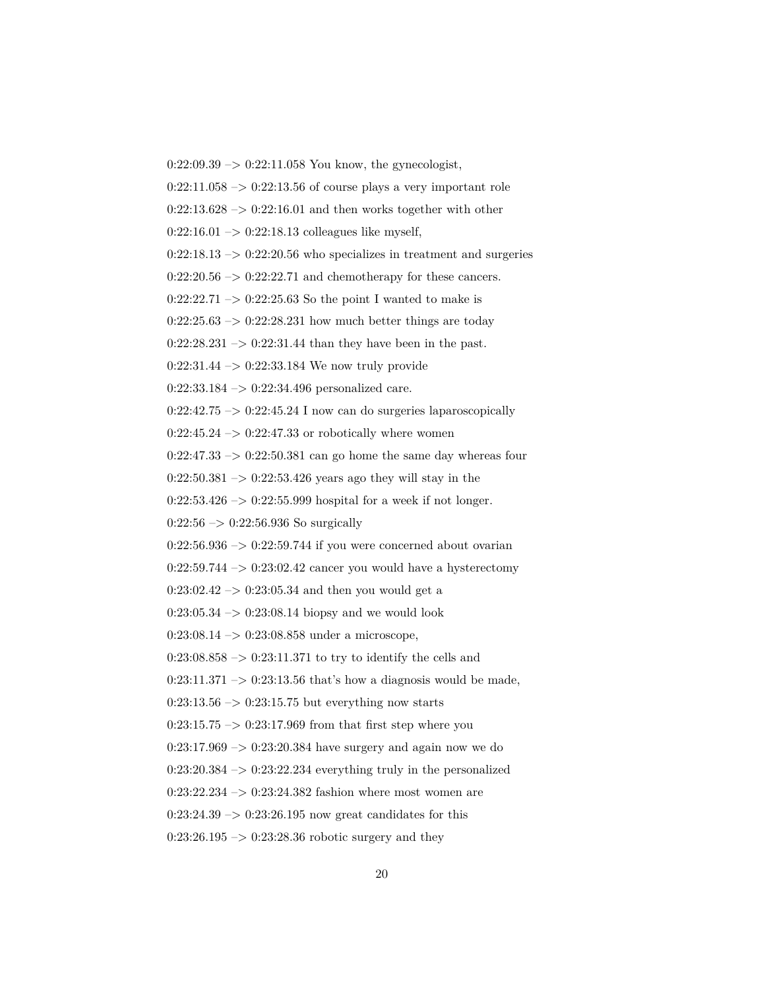$0:22:09.39 \rightarrow 0:22:11.058$  You know, the gynecologist,

 $0:22:11.058 \rightarrow 0:22:13.56$  of course plays a very important role

 $0:22:13.628 \rightarrow 0:22:16.01$  and then works together with other

 $0:22:16.01 \rightarrow 0:22:18.13$  colleagues like myself,

 $0:22:18.13 \rightarrow 0:22:20.56$  who specializes in treatment and surgeries

 $0:22:20.56 \rightarrow 0:22:22.71$  and chemotherapy for these cancers.

 $0:22:22.71 \rightarrow 0:22:25.63$  So the point I wanted to make is

 $0:22:25.63 \rightarrow 0:22:28.231$  how much better things are today

 $0:22:28.231 \rightarrow 0:22:31.44$  than they have been in the past.

 $0:22:31.44 \rightarrow 0:22:33.184$  We now truly provide

 $0:22:33.184 \rightarrow 0:22:34.496$  personalized care.

 $0:22:42.75 \rightarrow 0:22:45.24$  I now can do surgeries laparoscopically

 $0:22:45.24 \rightarrow 0:22:47.33$  or robotically where women

 $0:22:47.33 \rightarrow 0:22:50.381$  can go home the same day whereas four

 $0:22:50.381 \rightarrow 0:22:53.426$  years ago they will stay in the

 $0:22:53.426 \rightarrow 0:22:55.999$  hospital for a week if not longer.

 $0:22:56 \rightarrow 0:22:56.936$  So surgically

 $0:22:56.936 \rightarrow 0:22:59.744$  if you were concerned about ovarian

 $0:22:59.744 \rightarrow 0:23:02.42$  cancer you would have a hysterectomy

 $0:23:02.42 \rightarrow 0:23:05.34$  and then you would get a

 $0:23:05.34 \rightarrow 0:23:08.14$  biopsy and we would look

 $0:23:08.14 \rightarrow 0:23:08.858$  under a microscope,

 $0:23:08.858 \rightarrow 0:23:11.371$  to try to identify the cells and

 $0:23:11.371 \rightarrow 0:23:13.56$  that's how a diagnosis would be made,

 $0:23:13.56 \rightarrow 0:23:15.75$  but everything now starts

 $0:23:15.75 \rightarrow 0:23:17.969$  from that first step where you

 $0:23:17.969 \rightarrow 0:23:20.384$  have surgery and again now we do

 $0:23:20.384 \rightarrow 0:23:22.234$  everything truly in the personalized

 $0:23:22.234 \rightarrow 0:23:24.382$  fashion where most women are

 $0:23:24.39 \rightarrow 0:23:26.195$  now great candidates for this

 $0:23:26.195 \rightarrow 0:23:28.36$  robotic surgery and they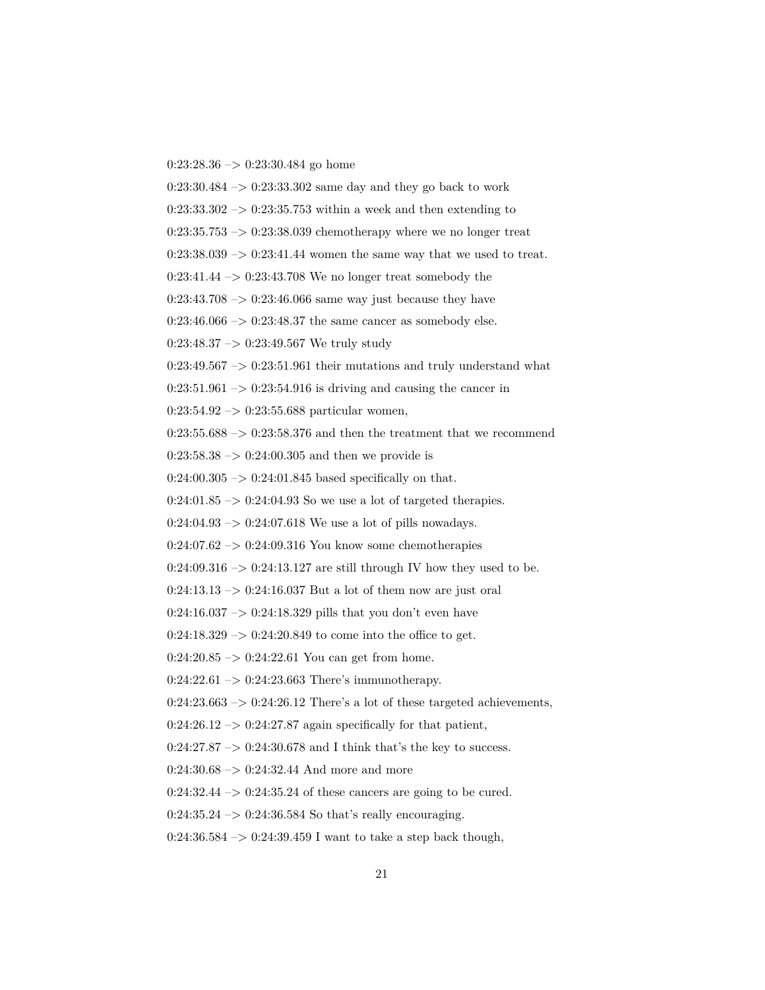$0:23:28.36 \rightarrow 0:23:30.484$  go home

 $0:23:30.484 \rightarrow 0:23:33.302$  same day and they go back to work  $0:23:33.302 \rightarrow 0:23:35.753$  within a week and then extending to  $0:23:35.753 \rightarrow 0:23:38.039$  chemotherapy where we no longer treat  $0:23:38.039 \rightarrow 0:23:41.44$  women the same way that we used to treat.  $0:23:41.44 \rightarrow 0:23:43.708$  We no longer treat somebody the 0:23:43.708  $\rightarrow$  0:23:46.066 same way just because they have  $0:23:46.066 \rightarrow 0:23:48.37$  the same cancer as somebody else. 0:23:48.37 –> 0:23:49.567 We truly study  $0:23:49.567 \rightarrow 0:23:51.961$  their mutations and truly understand what  $0:23:51.961 \rightarrow 0:23:54.916$  is driving and causing the cancer in  $0:23:54.92 \rightarrow 0:23:55.688$  particular women,  $0:23:55.688 \rightarrow 0:23:58.376$  and then the treatment that we recommend  $0:23:58.38 \rightarrow 0:24:00.305$  and then we provide is  $0:24:00.305 \rightarrow 0:24:01.845$  based specifically on that.  $0:24:01.85 \rightarrow 0:24:04.93$  So we use a lot of targeted therapies.  $0:24:04.93 \rightarrow 0:24:07.618$  We use a lot of pills nowadays.  $0:24:07.62 \rightarrow 0:24:09.316$  You know some chemotherapies  $0:24:09.316 \rightarrow 0:24:13.127$  are still through IV how they used to be.  $0:24:13.13 \rightarrow 0:24:16.037$  But a lot of them now are just oral  $0:24:16.037 \rightarrow 0:24:18.329$  pills that you don't even have  $0:24:18.329 \rightarrow 0:24:20.849$  to come into the office to get.  $0:24:20.85 \rightarrow 0:24:22.61$  You can get from home.  $0:24:22.61 \rightarrow 0:24:23.663$  There's immunotherapy.  $0:24:23.663 \rightarrow 0:24:26.12$  There's a lot of these targeted achievements,  $0:24:26.12 \rightarrow 0:24:27.87$  again specifically for that patient,  $0:24:27.87 \rightarrow 0:24:30.678$  and I think that's the key to success.  $0:24:30.68 \rightarrow 0:24:32.44$  And more and more  $0:24:32.44 \rightarrow 0:24:35.24$  of these cancers are going to be cured.

 $0:24:35.24 \rightarrow 0:24:36.584$  So that's really encouraging.

 $0:24:36.584 \rightarrow 0:24:39.459$  I want to take a step back though,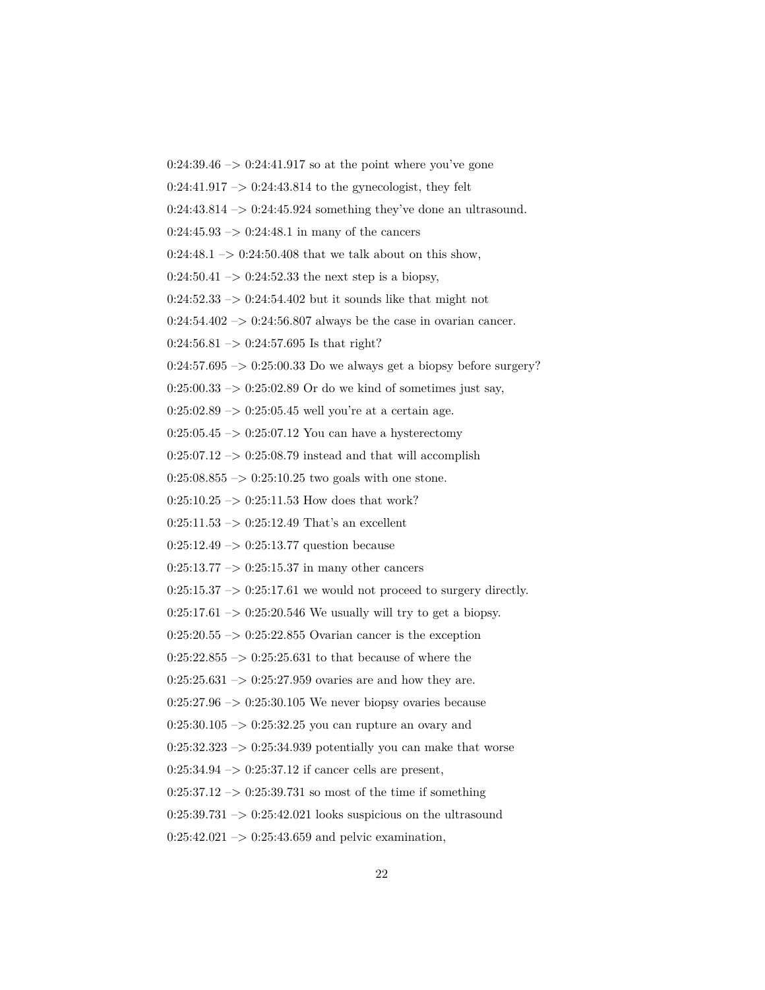$0:24:39.46 \rightarrow 0:24:41.917$  so at the point where you've gone

 $0:24:41.917 \rightarrow 0:24:43.814$  to the gynecologist, they felt

 $0:24:43.814 \rightarrow 0:24:45.924$  something they've done an ultrasound.

 $0:24:45.93 \rightarrow 0:24:48.1$  in many of the cancers

 $0:24:48.1 \rightarrow 0:24:50.408$  that we talk about on this show,

 $0:24:50.41 \rightarrow 0:24:52.33$  the next step is a biopsy,

 $0:24:52.33 \rightarrow 0:24:54.402$  but it sounds like that might not

 $0:24:54.402 \rightarrow 0:24:56.807$  always be the case in ovarian cancer.

 $0:24:56.81 \rightarrow 0:24:57.695$  Is that right?

 $0:24:57.695 \rightarrow 0:25:00.33$  Do we always get a biopsy before surgery?

 $0:25:00.33 \rightarrow 0:25:02.89$  Or do we kind of sometimes just say,

 $0:25:02.89 \rightarrow 0:25:05.45$  well you're at a certain age.

 $0:25:05.45 \rightarrow 0:25:07.12$  You can have a hysterectomy

 $0:25:07.12 \rightarrow 0:25:08.79$  instead and that will accomplish

 $0:25:08.855 \rightarrow 0:25:10.25$  two goals with one stone.

 $0:25:10.25 \rightarrow 0:25:11.53$  How does that work?

 $0:25:11.53 \rightarrow 0:25:12.49$  That's an excellent

 $0:25:12.49 \rightarrow 0:25:13.77$  question because

 $0:25:13.77 \rightarrow 0:25:15.37$  in many other cancers

 $0:25:15.37 \rightarrow 0:25:17.61$  we would not proceed to surgery directly.

 $0:25:17.61 \rightarrow 0:25:20.546$  We usually will try to get a biopsy.

 $0:25:20.55 \rightarrow 0:25:22.855$  Ovarian cancer is the exception

 $0:25:22.855 \rightarrow 0:25:25.631$  to that because of where the

 $0:25:25.631 \rightarrow 0:25:27.959$  ovaries are and how they are.

 $0:25:27.96 \rightarrow 0:25:30.105$  We never biopsy ovaries because

 $0:25:30.105 \rightarrow 0:25:32.25$  you can rupture an ovary and

 $0:25:32.323 \rightarrow 0:25:34.939$  potentially you can make that worse

 $0:25:34.94 \rightarrow 0:25:37.12$  if cancer cells are present,

 $0:25:37.12 \rightarrow 0:25:39.731$  so most of the time if something

 $0:25:39.731 \rightarrow 0:25:42.021$  looks suspicious on the ultrasound

 $0:25:42.021 \rightarrow 0:25:43.659$  and pelvic examination,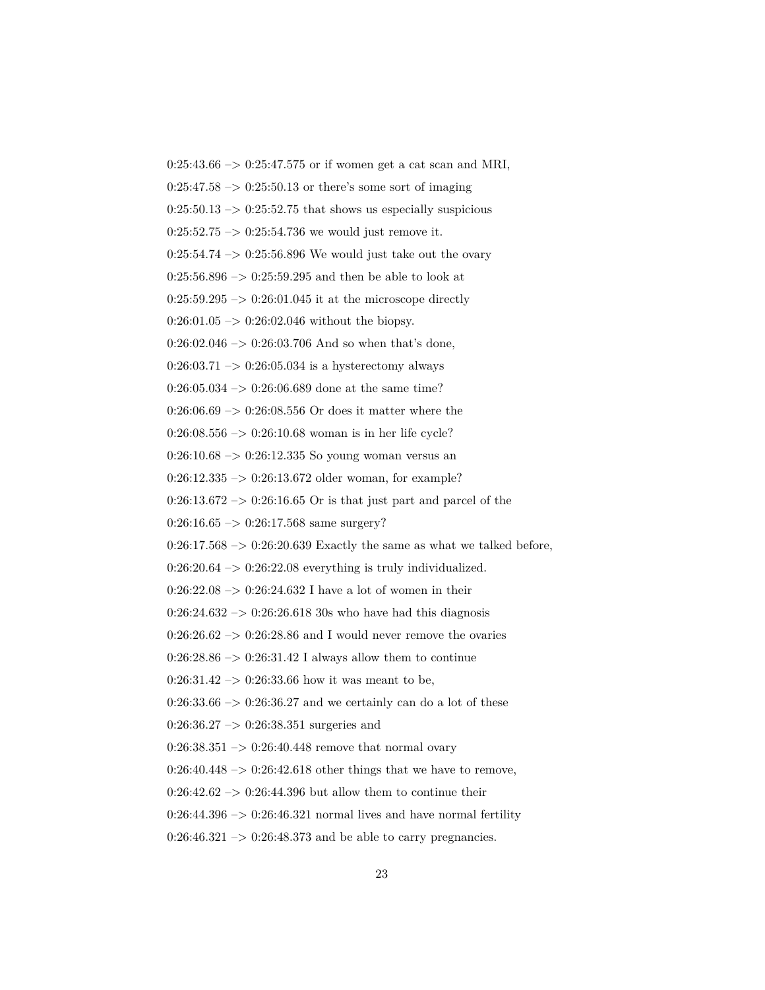$0:25:43.66 \rightarrow 0:25:47.575$  or if women get a cat scan and MRI,  $0:25:47.58 \rightarrow 0:25:50.13$  or there's some sort of imaging  $0:25:50.13 \rightarrow 0:25:52.75$  that shows us especially suspicious  $0:25:52.75 \rightarrow 0:25:54.736$  we would just remove it.  $0:25:54.74 \rightarrow 0:25:56.896$  We would just take out the ovary  $0:25:56.896 \rightarrow 0:25:59.295$  and then be able to look at  $0:25:59.295 \rightarrow 0:26:01.045$  it at the microscope directly  $0:26:01.05 \rightarrow 0:26:02.046$  without the biopsy.  $0:26:02.046 \rightarrow 0:26:03.706$  And so when that's done,  $0:26:03.71 \rightarrow 0:26:05.034$  is a hysterectomy always  $0:26:05.034 \rightarrow 0:26:06.689$  done at the same time?  $0:26:06.69 \rightarrow 0:26:08.556$  Or does it matter where the  $0:26:08.556 \rightarrow 0:26:10.68$  woman is in her life cycle?  $0:26:10.68 \rightarrow 0:26:12.335$  So young woman versus an 0:26:12.335 –> 0:26:13.672 older woman, for example?  $0:26:13.672 \rightarrow 0:26:16.65$  Or is that just part and parcel of the  $0:26:16.65 \rightarrow 0:26:17.568$  same surgery?  $0:26:17.568 \rightarrow 0:26:20.639$  Exactly the same as what we talked before,  $0:26:20.64 \rightarrow 0:26:22.08$  everything is truly individualized.  $0:26:22.08 \rightarrow 0:26:24.632$  I have a lot of women in their  $0:26:24.632 \rightarrow 0:26:26.618$  30s who have had this diagnosis  $0:26:26.62 \rightarrow 0:26:28.86$  and I would never remove the ovaries  $0:26:28.86 \rightarrow 0:26:31.42$  I always allow them to continue  $0:26:31.42 \rightarrow 0:26:33.66$  how it was meant to be,  $0:26:33.66 \rightarrow 0:26:36.27$  and we certainly can do a lot of these  $0:26:36.27 \rightarrow 0:26:38.351$  surgeries and  $0:26:38.351 \rightarrow 0:26:40.448$  remove that normal ovary  $0:26:40.448 \rightarrow 0:26:42.618$  other things that we have to remove,  $0:26:42.62 \rightarrow 0:26:44.396$  but allow them to continue their  $0:26:44.396 \rightarrow 0:26:46.321$  normal lives and have normal fertility

 $0:26:46.321 \rightarrow 0:26:48.373$  and be able to carry pregnancies.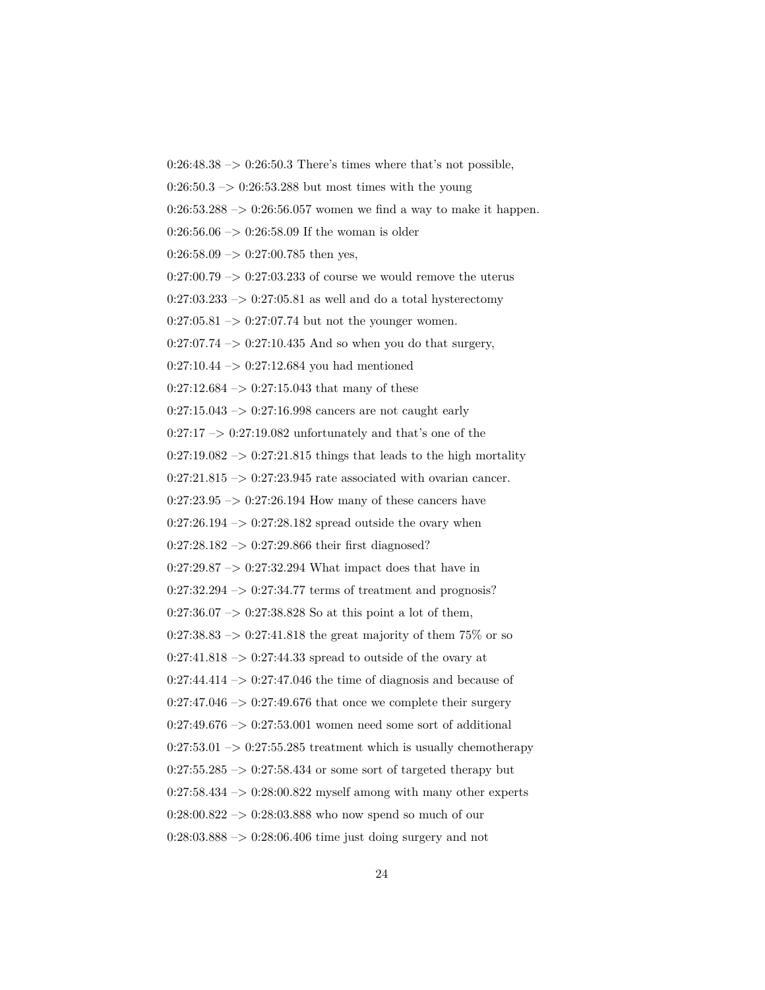$0:26:48.38 \rightarrow 0:26:50.3$  There's times where that's not possible,

 $0:26:50.3 \rightarrow 0:26:53.288$  but most times with the young

 $0:26:53.288 \rightarrow 0:26:56.057$  women we find a way to make it happen.

 $0:26:56.06 \rightarrow 0:26:58.09$  If the woman is older

 $0:26:58.09 \rightarrow 0:27:00.785$  then yes,

 $0:27:00.79 \rightarrow 0:27:03.233$  of course we would remove the uterus

 $0:27:03.233 \rightarrow 0:27:05.81$  as well and do a total hysterectomy

 $0:27:05.81 \rightarrow 0:27:07.74$  but not the younger women.

 $0:27:07.74 \rightarrow 0:27:10.435$  And so when you do that surgery,

 $0:27:10.44 \rightarrow 0:27:12.684$  you had mentioned

 $0:27:12.684 \rightarrow 0:27:15.043$  that many of these

 $0:27:15.043 \rightarrow 0:27:16.998$  cancers are not caught early

 $0:27:17 \rightarrow 0:27:19.082$  unfortunately and that's one of the

 $0:27:19.082 \rightarrow 0:27:21.815$  things that leads to the high mortality

 $0:27:21.815 \rightarrow 0:27:23.945$  rate associated with ovarian cancer.

 $0:27:23.95 \rightarrow 0:27:26.194$  How many of these cancers have

 $0:27:26.194 \rightarrow 0:27:28.182$  spread outside the ovary when

 $0:27:28.182 \rightarrow 0:27:29.866$  their first diagnosed?

 $0:27:29.87 \rightarrow 0:27:32.294$  What impact does that have in

 $0:27:32.294 \rightarrow 0:27:34.77$  terms of treatment and prognosis?

 $0:27:36.07 \rightarrow 0:27:38.828$  So at this point a lot of them,

 $0:27:38.83 \rightarrow 0:27:41.818$  the great majority of them 75\% or so

 $0:27:41.818 \rightarrow 0:27:44.33$  spread to outside of the ovary at

 $0:27:44.414 \rightarrow 0:27:47.046$  the time of diagnosis and because of

 $0:27:47.046 \rightarrow 0:27:49.676$  that once we complete their surgery

 $0:27:49.676 \rightarrow 0:27:53.001$  women need some sort of additional

 $0:27:53.01 \rightarrow 0:27:55.285$  treatment which is usually chemotherapy

 $0:27:55.285 \rightarrow 0:27:58.434$  or some sort of targeted therapy but

 $0:27:58.434 \rightarrow 0:28:00.822$  myself among with many other experts

 $0:28:00.822 \rightarrow 0:28:03.888$  who now spend so much of our

 $0:28:03.888 \rightarrow 0:28:06.406$  time just doing surgery and not